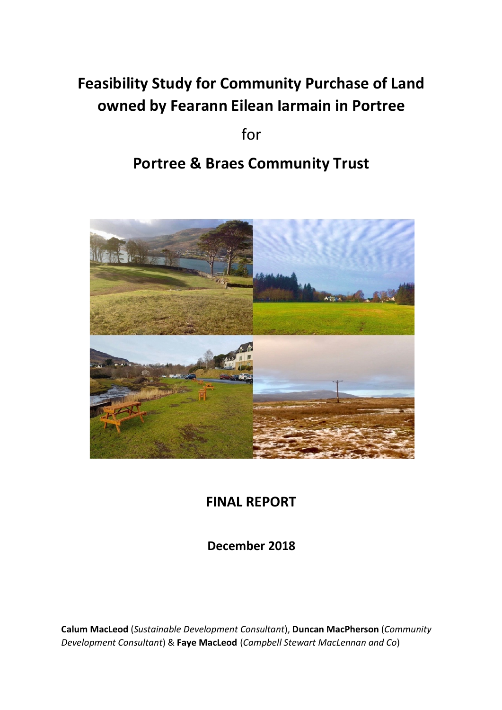# **Feasibility Study for Community Purchase of Land owned by Fearann Eilean Iarmain in Portree**

for

## **Portree & Braes Community Trust**



## **FINAL REPORT**

### **December 2018**

**Calum MacLeod** (*Sustainable Development Consultant*), **Duncan MacPherson** (*Community Development Consultant*) & **Faye MacLeod** (*Campbell Stewart MacLennan and Co*)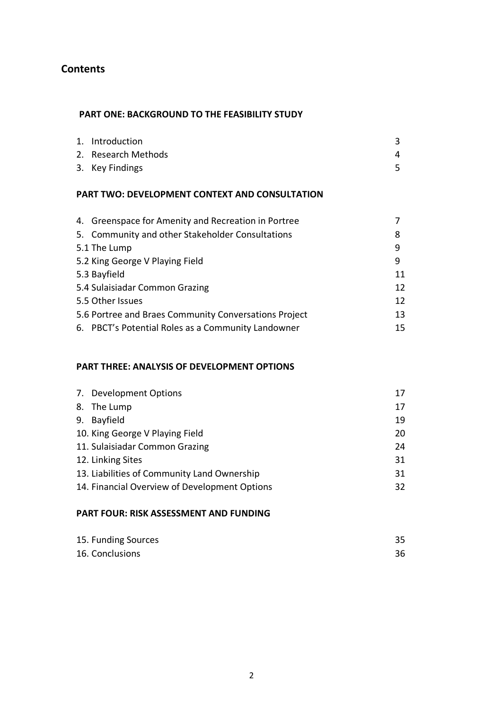#### **Contents**

#### **PART ONE: BACKGROUND TO THE FEASIBILITY STUDY**

| 1. Introduction     |  |
|---------------------|--|
| 2. Research Methods |  |
| 3. Key Findings     |  |

#### **PART TWO: DEVELOPMENT CONTEXT AND CONSULTATION**

| 4. Greenspace for Amenity and Recreation in Portree   |    |
|-------------------------------------------------------|----|
| 5. Community and other Stakeholder Consultations      | 8  |
| 5.1 The Lump                                          | 9  |
| 5.2 King George V Playing Field                       | 9  |
| 5.3 Bayfield                                          | 11 |
| 5.4 Sulaisiadar Common Grazing                        | 12 |
| 5.5 Other Issues                                      | 12 |
| 5.6 Portree and Braes Community Conversations Project | 13 |
| 6. PBCT's Potential Roles as a Community Landowner    | 15 |

#### **PART THREE: ANALYSIS OF DEVELOPMENT OPTIONS**

| 7. Development Options                        |    |
|-----------------------------------------------|----|
| 8. The Lump                                   | 17 |
| 9. Bayfield                                   | 19 |
| 10. King George V Playing Field               | 20 |
| 11. Sulaisiadar Common Grazing                | 24 |
| 12. Linking Sites                             | 31 |
| 13. Liabilities of Community Land Ownership   | 31 |
| 14. Financial Overview of Development Options | 32 |
|                                               |    |

#### **PART FOUR: RISK ASSESSMENT AND FUNDING**

| 15. Funding Sources |  |
|---------------------|--|
| 16. Conclusions     |  |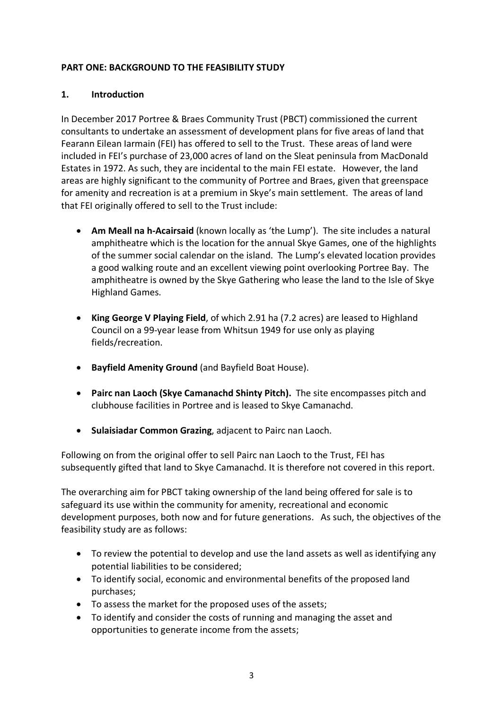#### **PART ONE: BACKGROUND TO THE FEASIBILITY STUDY**

#### **1. Introduction**

In December 2017 Portree & Braes Community Trust (PBCT) commissioned the current consultants to undertake an assessment of development plans for five areas of land that Fearann Eilean Iarmain (FEI) has offered to sell to the Trust. These areas of land were included in FEI's purchase of 23,000 acres of land on the Sleat peninsula from MacDonald Estates in 1972. As such, they are incidental to the main FEI estate. However, the land areas are highly significant to the community of Portree and Braes, given that greenspace for amenity and recreation is at a premium in Skye's main settlement. The areas of land that FEI originally offered to sell to the Trust include:

- **Am Meall na h-Acairsaid** (known locally as 'the Lump'). The site includes a natural amphitheatre which is the location for the annual Skye Games, one of the highlights of the summer social calendar on the island. The Lump's elevated location provides a good walking route and an excellent viewing point overlooking Portree Bay. The amphitheatre is owned by the Skye Gathering who lease the land to the Isle of Skye Highland Games.
- **King George V Playing Field**, of which 2.91 ha (7.2 acres) are leased to Highland Council on a 99-year lease from Whitsun 1949 for use only as playing fields/recreation.
- **Bayfield Amenity Ground** (and Bayfield Boat House).
- **Pairc nan Laoch (Skye Camanachd Shinty Pitch).** The site encompasses pitch and clubhouse facilities in Portree and is leased to Skye Camanachd.
- **Sulaisiadar Common Grazing**, adjacent to Pairc nan Laoch.

Following on from the original offer to sell Pairc nan Laoch to the Trust, FEI has subsequently gifted that land to Skye Camanachd. It is therefore not covered in this report.

The overarching aim for PBCT taking ownership of the land being offered for sale is to safeguard its use within the community for amenity, recreational and economic development purposes, both now and for future generations. As such, the objectives of the feasibility study are as follows:

- To review the potential to develop and use the land assets as well as identifying any potential liabilities to be considered;
- To identify social, economic and environmental benefits of the proposed land purchases;
- To assess the market for the proposed uses of the assets;
- To identify and consider the costs of running and managing the asset and opportunities to generate income from the assets;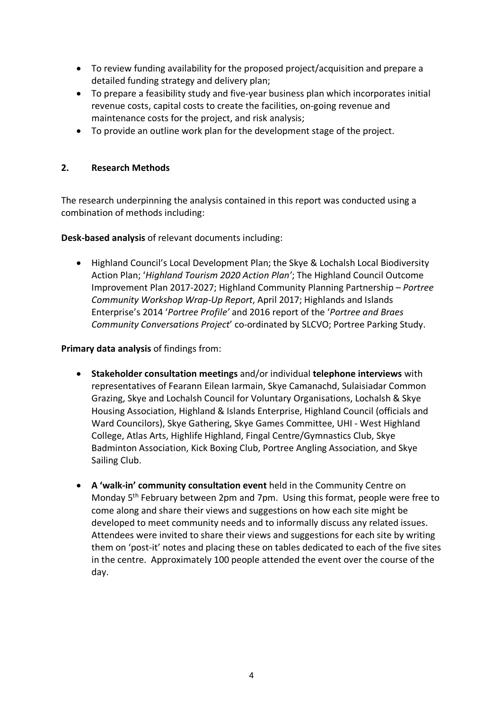- To review funding availability for the proposed project/acquisition and prepare a detailed funding strategy and delivery plan;
- To prepare a feasibility study and five-year business plan which incorporates initial revenue costs, capital costs to create the facilities, on-going revenue and maintenance costs for the project, and risk analysis;
- To provide an outline work plan for the development stage of the project.

#### **2. Research Methods**

The research underpinning the analysis contained in this report was conducted using a combination of methods including:

**Desk-based analysis** of relevant documents including:

• Highland Council's Local Development Plan; the Skye & Lochalsh Local Biodiversity Action Plan; '*Highland Tourism 2020 Action Plan'*; The Highland Council Outcome Improvement Plan 2017-2027; Highland Community Planning Partnership – *Portree Community Workshop Wrap-Up Report*, April 2017; Highlands and Islands Enterprise's 2014 '*Portree Profile'* and 2016 report of the '*Portree and Braes Community Conversations Project*' co-ordinated by SLCVO; Portree Parking Study.

#### **Primary data analysis** of findings from:

- **Stakeholder consultation meetings** and/or individual **telephone interviews** with representatives of Fearann Eilean Iarmain, Skye Camanachd, Sulaisiadar Common Grazing, Skye and Lochalsh Council for Voluntary Organisations, Lochalsh & Skye Housing Association, Highland & Islands Enterprise, Highland Council (officials and Ward Councilors), Skye Gathering, Skye Games Committee, UHI - West Highland College, Atlas Arts, Highlife Highland, Fingal Centre/Gymnastics Club, Skye Badminton Association, Kick Boxing Club, Portree Angling Association, and Skye Sailing Club.
- **A 'walk-in' community consultation event** held in the Community Centre on Monday 5th February between 2pm and 7pm. Using this format, people were free to come along and share their views and suggestions on how each site might be developed to meet community needs and to informally discuss any related issues. Attendees were invited to share their views and suggestions for each site by writing them on 'post-it' notes and placing these on tables dedicated to each of the five sites in the centre. Approximately 100 people attended the event over the course of the day.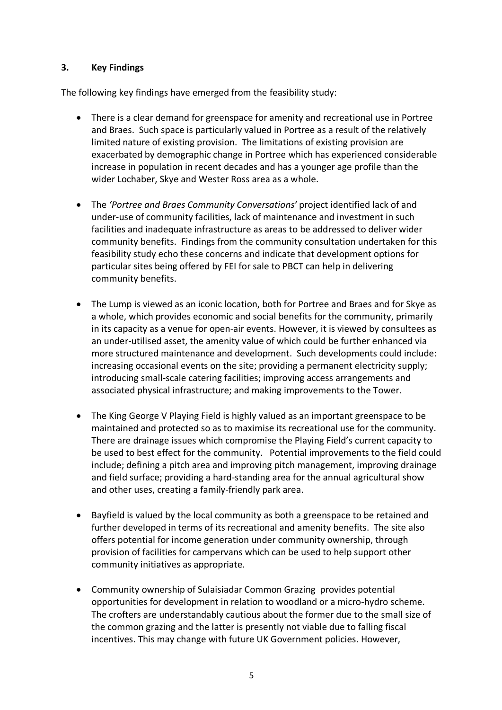#### **3. Key Findings**

The following key findings have emerged from the feasibility study:

- There is a clear demand for greenspace for amenity and recreational use in Portree and Braes. Such space is particularly valued in Portree as a result of the relatively limited nature of existing provision. The limitations of existing provision are exacerbated by demographic change in Portree which has experienced considerable increase in population in recent decades and has a younger age profile than the wider Lochaber, Skye and Wester Ross area as a whole.
- The *'Portree and Braes Community Conversations'* project identified lack of and under-use of community facilities, lack of maintenance and investment in such facilities and inadequate infrastructure as areas to be addressed to deliver wider community benefits. Findings from the community consultation undertaken for this feasibility study echo these concerns and indicate that development options for particular sites being offered by FEI for sale to PBCT can help in delivering community benefits.
- The Lump is viewed as an iconic location, both for Portree and Braes and for Skye as a whole, which provides economic and social benefits for the community, primarily in its capacity as a venue for open-air events. However, it is viewed by consultees as an under-utilised asset, the amenity value of which could be further enhanced via more structured maintenance and development. Such developments could include: increasing occasional events on the site; providing a permanent electricity supply; introducing small-scale catering facilities; improving access arrangements and associated physical infrastructure; and making improvements to the Tower.
- The King George V Playing Field is highly valued as an important greenspace to be maintained and protected so as to maximise its recreational use for the community. There are drainage issues which compromise the Playing Field's current capacity to be used to best effect for the community. Potential improvements to the field could include; defining a pitch area and improving pitch management, improving drainage and field surface; providing a hard-standing area for the annual agricultural show and other uses, creating a family-friendly park area.
- Bayfield is valued by the local community as both a greenspace to be retained and further developed in terms of its recreational and amenity benefits. The site also offers potential for income generation under community ownership, through provision of facilities for campervans which can be used to help support other community initiatives as appropriate.
- Community ownership of Sulaisiadar Common Grazing provides potential opportunities for development in relation to woodland or a micro-hydro scheme. The crofters are understandably cautious about the former due to the small size of the common grazing and the latter is presently not viable due to falling fiscal incentives. This may change with future UK Government policies. However,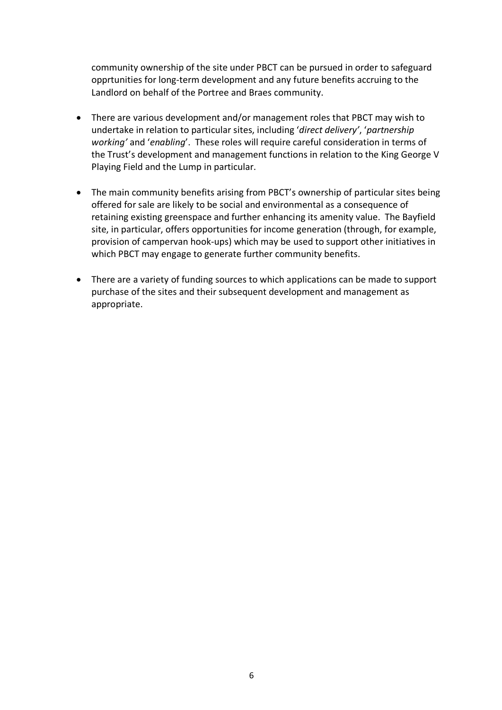community ownership of the site under PBCT can be pursued in order to safeguard opprtunities for long-term development and any future benefits accruing to the Landlord on behalf of the Portree and Braes community.

- There are various development and/or management roles that PBCT may wish to undertake in relation to particular sites, including '*direct delivery'*, '*partnership working'* and '*enabling*'. These roles will require careful consideration in terms of the Trust's development and management functions in relation to the King George V Playing Field and the Lump in particular.
- The main community benefits arising from PBCT's ownership of particular sites being offered for sale are likely to be social and environmental as a consequence of retaining existing greenspace and further enhancing its amenity value. The Bayfield site, in particular, offers opportunities for income generation (through, for example, provision of campervan hook-ups) which may be used to support other initiatives in which PBCT may engage to generate further community benefits.
- There are a variety of funding sources to which applications can be made to support purchase of the sites and their subsequent development and management as appropriate.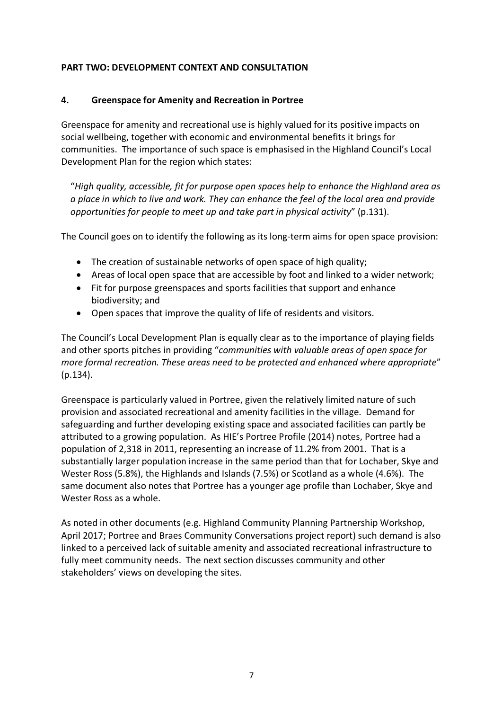#### **PART TWO: DEVELOPMENT CONTEXT AND CONSULTATION**

#### **4. Greenspace for Amenity and Recreation in Portree**

Greenspace for amenity and recreational use is highly valued for its positive impacts on social wellbeing, together with economic and environmental benefits it brings for communities. The importance of such space is emphasised in the Highland Council's Local Development Plan for the region which states:

"*High quality, accessible, fit for purpose open spaces help to enhance the Highland area as a place in which to live and work. They can enhance the feel of the local area and provide opportunities for people to meet up and take part in physical activity*" (p.131).

The Council goes on to identify the following as its long-term aims for open space provision:

- The creation of sustainable networks of open space of high quality;
- Areas of local open space that are accessible by foot and linked to a wider network;
- Fit for purpose greenspaces and sports facilities that support and enhance biodiversity; and
- Open spaces that improve the quality of life of residents and visitors.

The Council's Local Development Plan is equally clear as to the importance of playing fields and other sports pitches in providing "*communities with valuable areas of open space for more formal recreation. These areas need to be protected and enhanced where appropriate*" (p.134).

Greenspace is particularly valued in Portree, given the relatively limited nature of such provision and associated recreational and amenity facilities in the village. Demand for safeguarding and further developing existing space and associated facilities can partly be attributed to a growing population. As HIE's Portree Profile (2014) notes, Portree had a population of 2,318 in 2011, representing an increase of 11.2% from 2001. That is a substantially larger population increase in the same period than that for Lochaber, Skye and Wester Ross (5.8%), the Highlands and Islands (7.5%) or Scotland as a whole (4.6%). The same document also notes that Portree has a younger age profile than Lochaber, Skye and Wester Ross as a whole.

As noted in other documents (e.g. Highland Community Planning Partnership Workshop, April 2017; Portree and Braes Community Conversations project report) such demand is also linked to a perceived lack of suitable amenity and associated recreational infrastructure to fully meet community needs. The next section discusses community and other stakeholders' views on developing the sites.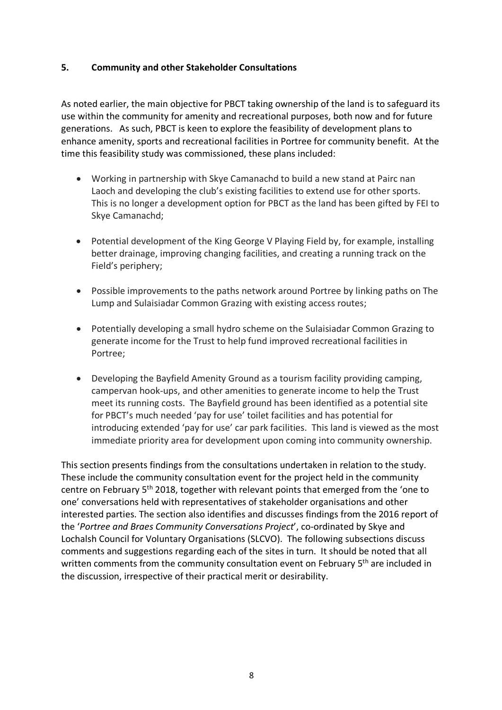#### **5. Community and other Stakeholder Consultations**

As noted earlier, the main objective for PBCT taking ownership of the land is to safeguard its use within the community for amenity and recreational purposes, both now and for future generations. As such, PBCT is keen to explore the feasibility of development plans to enhance amenity, sports and recreational facilities in Portree for community benefit. At the time this feasibility study was commissioned, these plans included:

- Working in partnership with Skye Camanachd to build a new stand at Pairc nan Laoch and developing the club's existing facilities to extend use for other sports. This is no longer a development option for PBCT as the land has been gifted by FEI to Skye Camanachd;
- Potential development of the King George V Playing Field by, for example, installing better drainage, improving changing facilities, and creating a running track on the Field's periphery;
- Possible improvements to the paths network around Portree by linking paths on The Lump and Sulaisiadar Common Grazing with existing access routes;
- Potentially developing a small hydro scheme on the Sulaisiadar Common Grazing to generate income for the Trust to help fund improved recreational facilities in Portree;
- Developing the Bayfield Amenity Ground as a tourism facility providing camping, campervan hook-ups, and other amenities to generate income to help the Trust meet its running costs. The Bayfield ground has been identified as a potential site for PBCT's much needed 'pay for use' toilet facilities and has potential for introducing extended 'pay for use' car park facilities. This land is viewed as the most immediate priority area for development upon coming into community ownership.

This section presents findings from the consultations undertaken in relation to the study. These include the community consultation event for the project held in the community centre on February 5th 2018, together with relevant points that emerged from the 'one to one' conversations held with representatives of stakeholder organisations and other interested parties. The section also identifies and discusses findings from the 2016 report of the '*Portree and Braes Community Conversations Project*', co-ordinated by Skye and Lochalsh Council for Voluntary Organisations (SLCVO). The following subsections discuss comments and suggestions regarding each of the sites in turn. It should be noted that all written comments from the community consultation event on February 5<sup>th</sup> are included in the discussion, irrespective of their practical merit or desirability.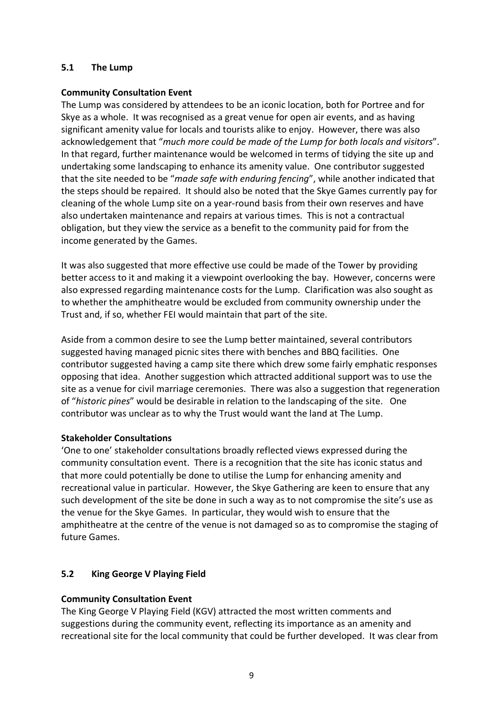#### **5.1 The Lump**

#### **Community Consultation Event**

The Lump was considered by attendees to be an iconic location, both for Portree and for Skye as a whole. It was recognised as a great venue for open air events, and as having significant amenity value for locals and tourists alike to enjoy. However, there was also acknowledgement that "*much more could be made of the Lump for both locals and visitors*". In that regard, further maintenance would be welcomed in terms of tidying the site up and undertaking some landscaping to enhance its amenity value. One contributor suggested that the site needed to be "*made safe with enduring fencing*", while another indicated that the steps should be repaired. It should also be noted that the Skye Games currently pay for cleaning of the whole Lump site on a year-round basis from their own reserves and have also undertaken maintenance and repairs at various times. This is not a contractual obligation, but they view the service as a benefit to the community paid for from the income generated by the Games.

It was also suggested that more effective use could be made of the Tower by providing better access to it and making it a viewpoint overlooking the bay. However, concerns were also expressed regarding maintenance costs for the Lump. Clarification was also sought as to whether the amphitheatre would be excluded from community ownership under the Trust and, if so, whether FEI would maintain that part of the site.

Aside from a common desire to see the Lump better maintained, several contributors suggested having managed picnic sites there with benches and BBQ facilities. One contributor suggested having a camp site there which drew some fairly emphatic responses opposing that idea. Another suggestion which attracted additional support was to use the site as a venue for civil marriage ceremonies. There was also a suggestion that regeneration of "*historic pines*" would be desirable in relation to the landscaping of the site. One contributor was unclear as to why the Trust would want the land at The Lump.

#### **Stakeholder Consultations**

'One to one' stakeholder consultations broadly reflected views expressed during the community consultation event. There is a recognition that the site has iconic status and that more could potentially be done to utilise the Lump for enhancing amenity and recreational value in particular. However, the Skye Gathering are keen to ensure that any such development of the site be done in such a way as to not compromise the site's use as the venue for the Skye Games. In particular, they would wish to ensure that the amphitheatre at the centre of the venue is not damaged so as to compromise the staging of future Games.

#### **5.2 King George V Playing Field**

#### **Community Consultation Event**

The King George V Playing Field (KGV) attracted the most written comments and suggestions during the community event, reflecting its importance as an amenity and recreational site for the local community that could be further developed. It was clear from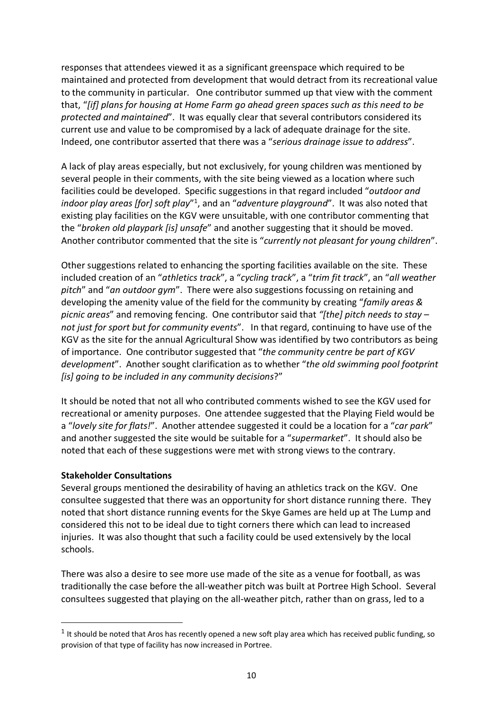responses that attendees viewed it as a significant greenspace which required to be maintained and protected from development that would detract from its recreational value to the community in particular. One contributor summed up that view with the comment that, "*[if] plans for housing at Home Farm go ahead green spaces such as this need to be protected and maintained*". It was equally clear that several contributors considered its current use and value to be compromised by a lack of adequate drainage for the site. Indeed, one contributor asserted that there was a "*serious drainage issue to address*".

A lack of play areas especially, but not exclusively, for young children was mentioned by several people in their comments, with the site being viewed as a location where such facilities could be developed. Specific suggestions in that regard included "*outdoor and*  indoor play areas [for] soft play"<sup>1</sup>, and an "adventure playground". It was also noted that existing play facilities on the KGV were unsuitable, with one contributor commenting that the "*broken old playpark [is] unsafe*" and another suggesting that it should be moved. Another contributor commented that the site is "*currently not pleasant for young children*".

Other suggestions related to enhancing the sporting facilities available on the site. These included creation of an "*athletics track*", a "*cycling track*", a "*trim fit track*", an "*all weather pitch*" and "*an outdoor gym*". There were also suggestions focussing on retaining and developing the amenity value of the field for the community by creating "*family areas & picnic areas*" and removing fencing. One contributor said that *"[the] pitch needs to stay – not just for sport but for community events*". In that regard, continuing to have use of the KGV as the site for the annual Agricultural Show was identified by two contributors as being of importance. One contributor suggested that "*the community centre be part of KGV development*". Another sought clarification as to whether "*the old swimming pool footprint [is] going to be included in any community decisions*?"

It should be noted that not all who contributed comments wished to see the KGV used for recreational or amenity purposes. One attendee suggested that the Playing Field would be a "*lovely site for flats!*". Another attendee suggested it could be a location for a "*car park*" and another suggested the site would be suitable for a "*supermarket*". It should also be noted that each of these suggestions were met with strong views to the contrary.

#### **Stakeholder Consultations**

Several groups mentioned the desirability of having an athletics track on the KGV. One consultee suggested that there was an opportunity for short distance running there. They noted that short distance running events for the Skye Games are held up at The Lump and considered this not to be ideal due to tight corners there which can lead to increased injuries. It was also thought that such a facility could be used extensively by the local schools.

There was also a desire to see more use made of the site as a venue for football, as was traditionally the case before the all-weather pitch was built at Portree High School. Several consultees suggested that playing on the all-weather pitch, rather than on grass, led to a

 $1$  It should be noted that Aros has recently opened a new soft play area which has received public funding, so provision of that type of facility has now increased in Portree.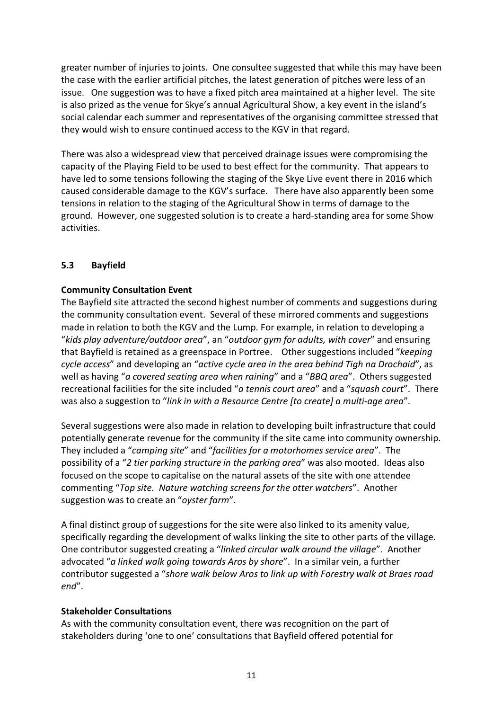greater number of injuries to joints. One consultee suggested that while this may have been the case with the earlier artificial pitches, the latest generation of pitches were less of an issue. One suggestion was to have a fixed pitch area maintained at a higher level. The site is also prized as the venue for Skye's annual Agricultural Show, a key event in the island's social calendar each summer and representatives of the organising committee stressed that they would wish to ensure continued access to the KGV in that regard.

There was also a widespread view that perceived drainage issues were compromising the capacity of the Playing Field to be used to best effect for the community. That appears to have led to some tensions following the staging of the Skye Live event there in 2016 which caused considerable damage to the KGV's surface. There have also apparently been some tensions in relation to the staging of the Agricultural Show in terms of damage to the ground. However, one suggested solution is to create a hard-standing area for some Show activities.

#### **5.3 Bayfield**

#### **Community Consultation Event**

The Bayfield site attracted the second highest number of comments and suggestions during the community consultation event. Several of these mirrored comments and suggestions made in relation to both the KGV and the Lump. For example, in relation to developing a "*kids play adventure/outdoor area*", an "*outdoor gym for adults, with cover*" and ensuring that Bayfield is retained as a greenspace in Portree. Other suggestions included "*keeping cycle access*" and developing an "*active cycle area in the area behind Tigh na Drochaid*", as well as having "*a covered seating area when raining*" and a "*BBQ area*". Others suggested recreational facilities for the site included "*a tennis court area*" and a "*squash court*". There was also a suggestion to "*link in with a Resource Centre [to create] a multi-age area*".

Several suggestions were also made in relation to developing built infrastructure that could potentially generate revenue for the community if the site came into community ownership. They included a "*camping site*" and "*facilities for a motorhomes service area*". The possibility of a "*2 tier parking structure in the parking area*" was also mooted. Ideas also focused on the scope to capitalise on the natural assets of the site with one attendee commenting "*Top site. Nature watching screens for the otter watchers*". Another suggestion was to create an "*oyster farm*".

A final distinct group of suggestions for the site were also linked to its amenity value, specifically regarding the development of walks linking the site to other parts of the village. One contributor suggested creating a "*linked circular walk around the village*". Another advocated "*a linked walk going towards Aros by shore*". In a similar vein, a further contributor suggested a "*shore walk below Aros to link up with Forestry walk at Braes road end*".

#### **Stakeholder Consultations**

As with the community consultation event, there was recognition on the part of stakeholders during 'one to one' consultations that Bayfield offered potential for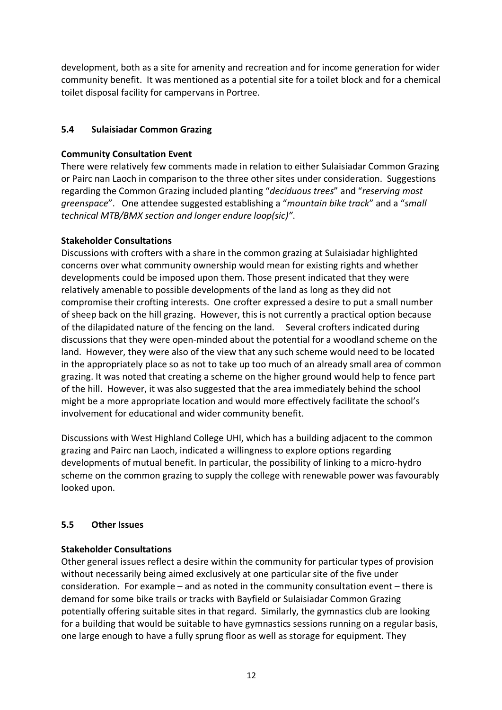development, both as a site for amenity and recreation and for income generation for wider community benefit. It was mentioned as a potential site for a toilet block and for a chemical toilet disposal facility for campervans in Portree.

#### **5.4 Sulaisiadar Common Grazing**

#### **Community Consultation Event**

There were relatively few comments made in relation to either Sulaisiadar Common Grazing or Pairc nan Laoch in comparison to the three other sites under consideration. Suggestions regarding the Common Grazing included planting "*deciduous trees*" and "*reserving most greenspace*". One attendee suggested establishing a "*mountain bike track*" and a "*small technical MTB/BMX section and longer endure loop(sic)"*.

#### **Stakeholder Consultations**

Discussions with crofters with a share in the common grazing at Sulaisiadar highlighted concerns over what community ownership would mean for existing rights and whether developments could be imposed upon them. Those present indicated that they were relatively amenable to possible developments of the land as long as they did not compromise their crofting interests. One crofter expressed a desire to put a small number of sheep back on the hill grazing. However, this is not currently a practical option because of the dilapidated nature of the fencing on the land. Several crofters indicated during discussions that they were open-minded about the potential for a woodland scheme on the land. However, they were also of the view that any such scheme would need to be located in the appropriately place so as not to take up too much of an already small area of common grazing. It was noted that creating a scheme on the higher ground would help to fence part of the hill. However, it was also suggested that the area immediately behind the school might be a more appropriate location and would more effectively facilitate the school's involvement for educational and wider community benefit.

Discussions with West Highland College UHI, which has a building adjacent to the common grazing and Pairc nan Laoch, indicated a willingness to explore options regarding developments of mutual benefit. In particular, the possibility of linking to a micro-hydro scheme on the common grazing to supply the college with renewable power was favourably looked upon.

#### **5.5 Other Issues**

#### **Stakeholder Consultations**

Other general issues reflect a desire within the community for particular types of provision without necessarily being aimed exclusively at one particular site of the five under consideration. For example – and as noted in the community consultation event – there is demand for some bike trails or tracks with Bayfield or Sulaisiadar Common Grazing potentially offering suitable sites in that regard. Similarly, the gymnastics club are looking for a building that would be suitable to have gymnastics sessions running on a regular basis, one large enough to have a fully sprung floor as well as storage for equipment. They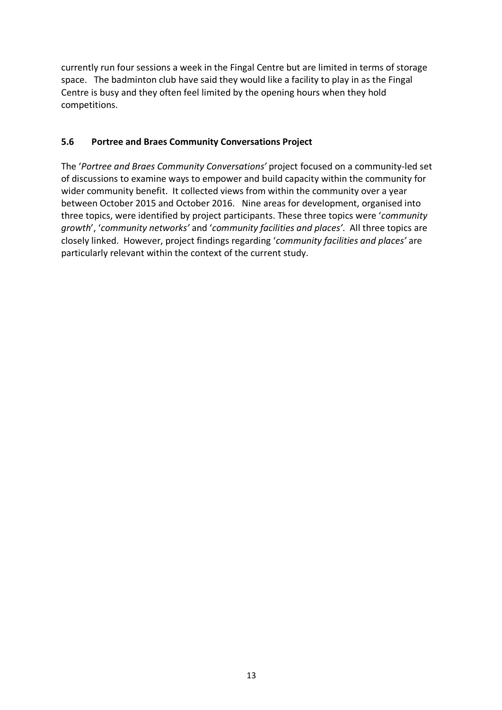currently run four sessions a week in the Fingal Centre but are limited in terms of storage space. The badminton club have said they would like a facility to play in as the Fingal Centre is busy and they often feel limited by the opening hours when they hold competitions.

#### **5.6 Portree and Braes Community Conversations Project**

The '*Portree and Braes Community Conversations'* project focused on a community-led set of discussions to examine ways to empower and build capacity within the community for wider community benefit. It collected views from within the community over a year between October 2015 and October 2016. Nine areas for development, organised into three topics, were identified by project participants. These three topics were '*community growth*', '*community networks'* and '*community facilities and places'*. All three topics are closely linked. However, project findings regarding '*community facilities and places'* are particularly relevant within the context of the current study.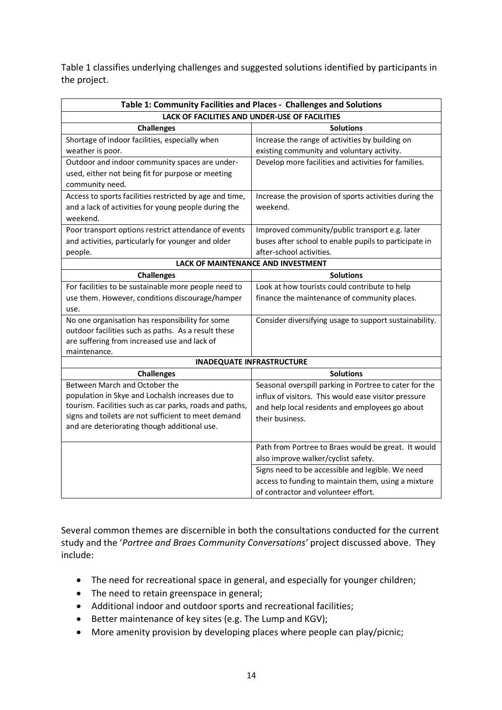Table 1 classifies underlying challenges and suggested solutions identified by participants in the project.

| Table 1: Community Facilities and Places - Challenges and Solutions |                                                        |  |  |  |  |  |
|---------------------------------------------------------------------|--------------------------------------------------------|--|--|--|--|--|
| LACK OF FACILITIES AND UNDER-USE OF FACILITIES                      |                                                        |  |  |  |  |  |
| <b>Challenges</b>                                                   | <b>Solutions</b>                                       |  |  |  |  |  |
| Shortage of indoor facilities, especially when                      | Increase the range of activities by building on        |  |  |  |  |  |
| weather is poor.                                                    | existing community and voluntary activity.             |  |  |  |  |  |
| Outdoor and indoor community spaces are under-                      | Develop more facilities and activities for families.   |  |  |  |  |  |
| used, either not being fit for purpose or meeting                   |                                                        |  |  |  |  |  |
| community need.                                                     |                                                        |  |  |  |  |  |
| Access to sports facilities restricted by age and time,             | Increase the provision of sports activities during the |  |  |  |  |  |
| and a lack of activities for young people during the                | weekend.                                               |  |  |  |  |  |
| weekend.                                                            |                                                        |  |  |  |  |  |
| Poor transport options restrict attendance of events                | Improved community/public transport e.g. later         |  |  |  |  |  |
| and activities, particularly for younger and older                  | buses after school to enable pupils to participate in  |  |  |  |  |  |
| people.                                                             | after-school activities.                               |  |  |  |  |  |
|                                                                     | LACK OF MAINTENANCE AND INVESTMENT                     |  |  |  |  |  |
| <b>Challenges</b>                                                   | <b>Solutions</b>                                       |  |  |  |  |  |
| For facilities to be sustainable more people need to                | Look at how tourists could contribute to help          |  |  |  |  |  |
| use them. However, conditions discourage/hamper                     | finance the maintenance of community places.           |  |  |  |  |  |
| use.                                                                |                                                        |  |  |  |  |  |
| No one organisation has responsibility for some                     | Consider diversifying usage to support sustainability. |  |  |  |  |  |
| outdoor facilities such as paths. As a result these                 |                                                        |  |  |  |  |  |
| are suffering from increased use and lack of                        |                                                        |  |  |  |  |  |
| maintenance.                                                        |                                                        |  |  |  |  |  |
|                                                                     | <b>INADEQUATE INFRASTRUCTURE</b>                       |  |  |  |  |  |
| <b>Challenges</b>                                                   | <b>Solutions</b>                                       |  |  |  |  |  |
| Between March and October the                                       | Seasonal overspill parking in Portree to cater for the |  |  |  |  |  |
| population in Skye and Lochalsh increases due to                    | influx of visitors. This would ease visitor pressure   |  |  |  |  |  |
| tourism. Facilities such as car parks, roads and paths,             | and help local residents and employees go about        |  |  |  |  |  |
| signs and toilets are not sufficient to meet demand                 | their business.                                        |  |  |  |  |  |
| and are deteriorating though additional use.                        |                                                        |  |  |  |  |  |
|                                                                     | Path from Portree to Braes would be great. It would    |  |  |  |  |  |
|                                                                     | also improve walker/cyclist safety.                    |  |  |  |  |  |
|                                                                     | Signs need to be accessible and legible. We need       |  |  |  |  |  |
|                                                                     | access to funding to maintain them, using a mixture    |  |  |  |  |  |
|                                                                     | of contractor and volunteer effort.                    |  |  |  |  |  |

Several common themes are discernible in both the consultations conducted for the current study and the '*Portree and Braes Community Conversations'* project discussed above. They include:

- The need for recreational space in general, and especially for younger children;
- The need to retain greenspace in general;
- Additional indoor and outdoor sports and recreational facilities;
- Better maintenance of key sites (e.g. The Lump and KGV);
- More amenity provision by developing places where people can play/picnic;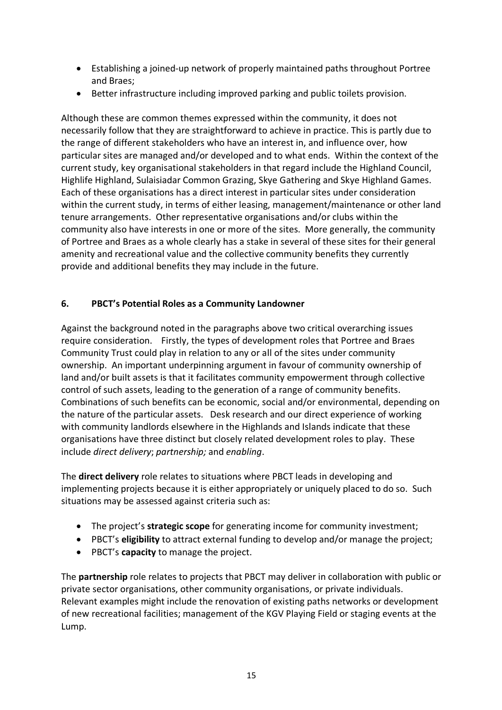- Establishing a joined-up network of properly maintained paths throughout Portree and Braes;
- Better infrastructure including improved parking and public toilets provision.

Although these are common themes expressed within the community, it does not necessarily follow that they are straightforward to achieve in practice. This is partly due to the range of different stakeholders who have an interest in, and influence over, how particular sites are managed and/or developed and to what ends. Within the context of the current study, key organisational stakeholders in that regard include the Highland Council, Highlife Highland, Sulaisiadar Common Grazing, Skye Gathering and Skye Highland Games. Each of these organisations has a direct interest in particular sites under consideration within the current study, in terms of either leasing, management/maintenance or other land tenure arrangements. Other representative organisations and/or clubs within the community also have interests in one or more of the sites. More generally, the community of Portree and Braes as a whole clearly has a stake in several of these sites for their general amenity and recreational value and the collective community benefits they currently provide and additional benefits they may include in the future.

#### **6. PBCT's Potential Roles as a Community Landowner**

Against the background noted in the paragraphs above two critical overarching issues require consideration. Firstly, the types of development roles that Portree and Braes Community Trust could play in relation to any or all of the sites under community ownership. An important underpinning argument in favour of community ownership of land and/or built assets is that it facilitates community empowerment through collective control of such assets, leading to the generation of a range of community benefits. Combinations of such benefits can be economic, social and/or environmental, depending on the nature of the particular assets. Desk research and our direct experience of working with community landlords elsewhere in the Highlands and Islands indicate that these organisations have three distinct but closely related development roles to play. These include *direct delivery*; *partnership;* and *enabling*.

The **direct delivery** role relates to situations where PBCT leads in developing and implementing projects because it is either appropriately or uniquely placed to do so. Such situations may be assessed against criteria such as:

- The project's **strategic scope** for generating income for community investment;
- PBCT's **eligibility** to attract external funding to develop and/or manage the project;
- PBCT's **capacity** to manage the project.

The **partnership** role relates to projects that PBCT may deliver in collaboration with public or private sector organisations, other community organisations, or private individuals. Relevant examples might include the renovation of existing paths networks or development of new recreational facilities; management of the KGV Playing Field or staging events at the Lump.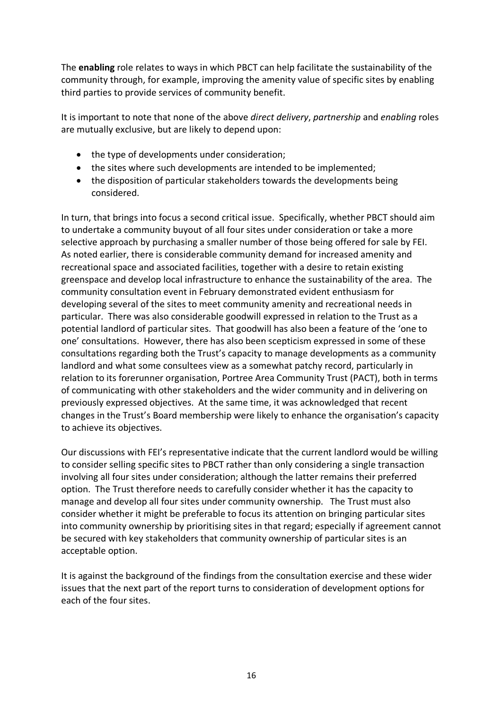The **enabling** role relates to ways in which PBCT can help facilitate the sustainability of the community through, for example, improving the amenity value of specific sites by enabling third parties to provide services of community benefit.

It is important to note that none of the above *direct delivery*, *partnership* and *enabling* roles are mutually exclusive, but are likely to depend upon:

- the type of developments under consideration;
- the sites where such developments are intended to be implemented;
- the disposition of particular stakeholders towards the developments being considered.

In turn, that brings into focus a second critical issue. Specifically, whether PBCT should aim to undertake a community buyout of all four sites under consideration or take a more selective approach by purchasing a smaller number of those being offered for sale by FEI. As noted earlier, there is considerable community demand for increased amenity and recreational space and associated facilities, together with a desire to retain existing greenspace and develop local infrastructure to enhance the sustainability of the area. The community consultation event in February demonstrated evident enthusiasm for developing several of the sites to meet community amenity and recreational needs in particular. There was also considerable goodwill expressed in relation to the Trust as a potential landlord of particular sites. That goodwill has also been a feature of the 'one to one' consultations. However, there has also been scepticism expressed in some of these consultations regarding both the Trust's capacity to manage developments as a community landlord and what some consultees view as a somewhat patchy record, particularly in relation to its forerunner organisation, Portree Area Community Trust (PACT), both in terms of communicating with other stakeholders and the wider community and in delivering on previously expressed objectives. At the same time, it was acknowledged that recent changes in the Trust's Board membership were likely to enhance the organisation's capacity to achieve its objectives.

Our discussions with FEI's representative indicate that the current landlord would be willing to consider selling specific sites to PBCT rather than only considering a single transaction involving all four sites under consideration; although the latter remains their preferred option. The Trust therefore needs to carefully consider whether it has the capacity to manage and develop all four sites under community ownership. The Trust must also consider whether it might be preferable to focus its attention on bringing particular sites into community ownership by prioritising sites in that regard; especially if agreement cannot be secured with key stakeholders that community ownership of particular sites is an acceptable option.

It is against the background of the findings from the consultation exercise and these wider issues that the next part of the report turns to consideration of development options for each of the four sites.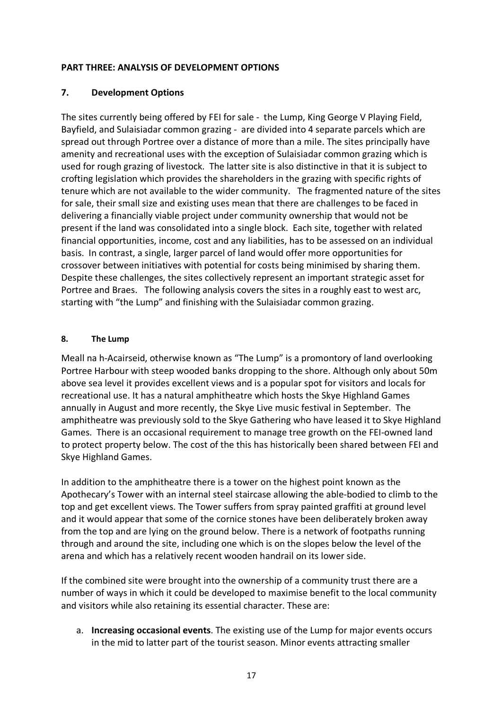#### **PART THREE: ANALYSIS OF DEVELOPMENT OPTIONS**

#### **7. Development Options**

The sites currently being offered by FEI for sale - the Lump, King George V Playing Field, Bayfield, and Sulaisiadar common grazing - are divided into 4 separate parcels which are spread out through Portree over a distance of more than a mile. The sites principally have amenity and recreational uses with the exception of Sulaisiadar common grazing which is used for rough grazing of livestock. The latter site is also distinctive in that it is subject to crofting legislation which provides the shareholders in the grazing with specific rights of tenure which are not available to the wider community. The fragmented nature of the sites for sale, their small size and existing uses mean that there are challenges to be faced in delivering a financially viable project under community ownership that would not be present if the land was consolidated into a single block. Each site, together with related financial opportunities, income, cost and any liabilities, has to be assessed on an individual basis. In contrast, a single, larger parcel of land would offer more opportunities for crossover between initiatives with potential for costs being minimised by sharing them. Despite these challenges, the sites collectively represent an important strategic asset for Portree and Braes. The following analysis covers the sites in a roughly east to west arc, starting with "the Lump" and finishing with the Sulaisiadar common grazing.

#### **8. The Lump**

Meall na h-Acairseid, otherwise known as "The Lump" is a promontory of land overlooking Portree Harbour with steep wooded banks dropping to the shore. Although only about 50m above sea level it provides excellent views and is a popular spot for visitors and locals for recreational use. It has a natural amphitheatre which hosts the Skye Highland Games annually in August and more recently, the Skye Live music festival in September. The amphitheatre was previously sold to the Skye Gathering who have leased it to Skye Highland Games. There is an occasional requirement to manage tree growth on the FEI-owned land to protect property below. The cost of the this has historically been shared between FEI and Skye Highland Games.

In addition to the amphitheatre there is a tower on the highest point known as the Apothecary's Tower with an internal steel staircase allowing the able-bodied to climb to the top and get excellent views. The Tower suffers from spray painted graffiti at ground level and it would appear that some of the cornice stones have been deliberately broken away from the top and are lying on the ground below. There is a network of footpaths running through and around the site, including one which is on the slopes below the level of the arena and which has a relatively recent wooden handrail on its lower side.

If the combined site were brought into the ownership of a community trust there are a number of ways in which it could be developed to maximise benefit to the local community and visitors while also retaining its essential character. These are:

a. **Increasing occasional events**. The existing use of the Lump for major events occurs in the mid to latter part of the tourist season. Minor events attracting smaller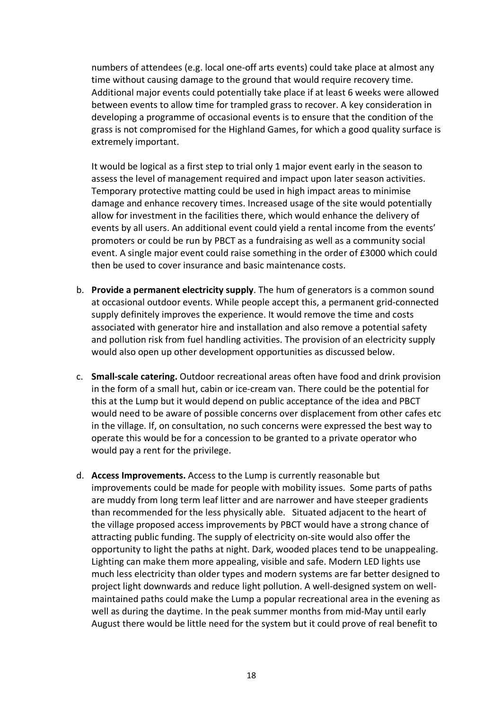numbers of attendees (e.g. local one-off arts events) could take place at almost any time without causing damage to the ground that would require recovery time. Additional major events could potentially take place if at least 6 weeks were allowed between events to allow time for trampled grass to recover. A key consideration in developing a programme of occasional events is to ensure that the condition of the grass is not compromised for the Highland Games, for which a good quality surface is extremely important.

It would be logical as a first step to trial only 1 major event early in the season to assess the level of management required and impact upon later season activities. Temporary protective matting could be used in high impact areas to minimise damage and enhance recovery times. Increased usage of the site would potentially allow for investment in the facilities there, which would enhance the delivery of events by all users. An additional event could yield a rental income from the events' promoters or could be run by PBCT as a fundraising as well as a community social event. A single major event could raise something in the order of £3000 which could then be used to cover insurance and basic maintenance costs.

- b. **Provide a permanent electricity supply**. The hum of generators is a common sound at occasional outdoor events. While people accept this, a permanent grid-connected supply definitely improves the experience. It would remove the time and costs associated with generator hire and installation and also remove a potential safety and pollution risk from fuel handling activities. The provision of an electricity supply would also open up other development opportunities as discussed below.
- c. **Small-scale catering.** Outdoor recreational areas often have food and drink provision in the form of a small hut, cabin or ice-cream van. There could be the potential for this at the Lump but it would depend on public acceptance of the idea and PBCT would need to be aware of possible concerns over displacement from other cafes etc in the village. If, on consultation, no such concerns were expressed the best way to operate this would be for a concession to be granted to a private operator who would pay a rent for the privilege.
- d. **Access Improvements.** Access to the Lump is currently reasonable but improvements could be made for people with mobility issues. Some parts of paths are muddy from long term leaf litter and are narrower and have steeper gradients than recommended for the less physically able. Situated adjacent to the heart of the village proposed access improvements by PBCT would have a strong chance of attracting public funding. The supply of electricity on-site would also offer the opportunity to light the paths at night. Dark, wooded places tend to be unappealing. Lighting can make them more appealing, visible and safe. Modern LED lights use much less electricity than older types and modern systems are far better designed to project light downwards and reduce light pollution. A well-designed system on wellmaintained paths could make the Lump a popular recreational area in the evening as well as during the daytime. In the peak summer months from mid-May until early August there would be little need for the system but it could prove of real benefit to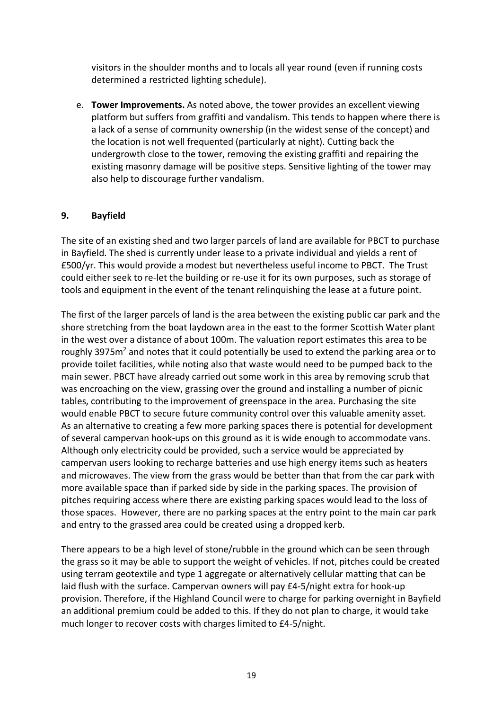visitors in the shoulder months and to locals all year round (even if running costs determined a restricted lighting schedule).

e. **Tower Improvements.** As noted above, the tower provides an excellent viewing platform but suffers from graffiti and vandalism. This tends to happen where there is a lack of a sense of community ownership (in the widest sense of the concept) and the location is not well frequented (particularly at night). Cutting back the undergrowth close to the tower, removing the existing graffiti and repairing the existing masonry damage will be positive steps. Sensitive lighting of the tower may also help to discourage further vandalism.

#### **9. Bayfield**

The site of an existing shed and two larger parcels of land are available for PBCT to purchase in Bayfield. The shed is currently under lease to a private individual and yields a rent of £500/yr. This would provide a modest but nevertheless useful income to PBCT. The Trust could either seek to re-let the building or re-use it for its own purposes, such as storage of tools and equipment in the event of the tenant relinquishing the lease at a future point.

The first of the larger parcels of land is the area between the existing public car park and the shore stretching from the boat laydown area in the east to the former Scottish Water plant in the west over a distance of about 100m. The valuation report estimates this area to be roughly 3975m<sup>2</sup> and notes that it could potentially be used to extend the parking area or to provide toilet facilities, while noting also that waste would need to be pumped back to the main sewer. PBCT have already carried out some work in this area by removing scrub that was encroaching on the view, grassing over the ground and installing a number of picnic tables, contributing to the improvement of greenspace in the area. Purchasing the site would enable PBCT to secure future community control over this valuable amenity asset. As an alternative to creating a few more parking spaces there is potential for development of several campervan hook-ups on this ground as it is wide enough to accommodate vans. Although only electricity could be provided, such a service would be appreciated by campervan users looking to recharge batteries and use high energy items such as heaters and microwaves. The view from the grass would be better than that from the car park with more available space than if parked side by side in the parking spaces. The provision of pitches requiring access where there are existing parking spaces would lead to the loss of those spaces. However, there are no parking spaces at the entry point to the main car park and entry to the grassed area could be created using a dropped kerb.

There appears to be a high level of stone/rubble in the ground which can be seen through the grass so it may be able to support the weight of vehicles. If not, pitches could be created using terram geotextile and type 1 aggregate or alternatively cellular matting that can be laid flush with the surface. Campervan owners will pay £4-5/night extra for hook-up provision. Therefore, if the Highland Council were to charge for parking overnight in Bayfield an additional premium could be added to this. If they do not plan to charge, it would take much longer to recover costs with charges limited to £4-5/night.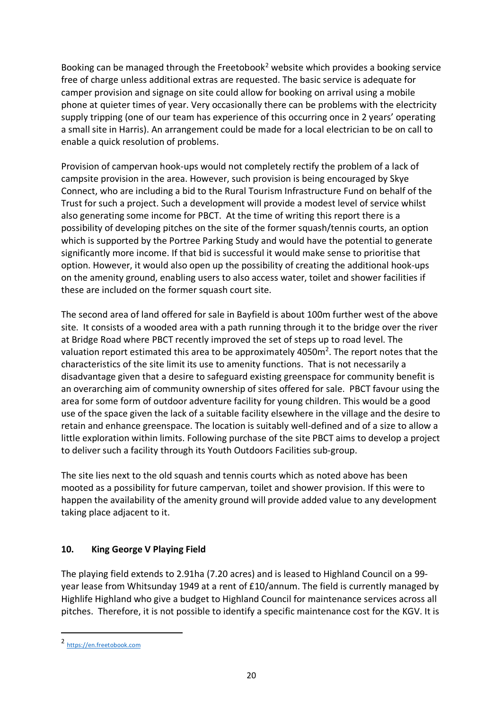Booking can be managed through the Freetobook<sup>2</sup> website which provides a booking service free of charge unless additional extras are requested. The basic service is adequate for camper provision and signage on site could allow for booking on arrival using a mobile phone at quieter times of year. Very occasionally there can be problems with the electricity supply tripping (one of our team has experience of this occurring once in 2 years' operating a small site in Harris). An arrangement could be made for a local electrician to be on call to enable a quick resolution of problems.

Provision of campervan hook-ups would not completely rectify the problem of a lack of campsite provision in the area. However, such provision is being encouraged by Skye Connect, who are including a bid to the Rural Tourism Infrastructure Fund on behalf of the Trust for such a project. Such a development will provide a modest level of service whilst also generating some income for PBCT. At the time of writing this report there is a possibility of developing pitches on the site of the former squash/tennis courts, an option which is supported by the Portree Parking Study and would have the potential to generate significantly more income. If that bid is successful it would make sense to prioritise that option. However, it would also open up the possibility of creating the additional hook-ups on the amenity ground, enabling users to also access water, toilet and shower facilities if these are included on the former squash court site.

The second area of land offered for sale in Bayfield is about 100m further west of the above site. It consists of a wooded area with a path running through it to the bridge over the river at Bridge Road where PBCT recently improved the set of steps up to road level. The valuation report estimated this area to be approximately 4050m<sup>2</sup>. The report notes that the characteristics of the site limit its use to amenity functions. That is not necessarily a disadvantage given that a desire to safeguard existing greenspace for community benefit is an overarching aim of community ownership of sites offered for sale. PBCT favour using the area for some form of outdoor adventure facility for young children. This would be a good use of the space given the lack of a suitable facility elsewhere in the village and the desire to retain and enhance greenspace. The location is suitably well-defined and of a size to allow a little exploration within limits. Following purchase of the site PBCT aims to develop a project to deliver such a facility through its Youth Outdoors Facilities sub-group.

The site lies next to the old squash and tennis courts which as noted above has been mooted as a possibility for future campervan, toilet and shower provision. If this were to happen the availability of the amenity ground will provide added value to any development taking place adjacent to it.

#### **10. King George V Playing Field**

The playing field extends to 2.91ha (7.20 acres) and is leased to Highland Council on a 99 year lease from Whitsunday 1949 at a rent of £10/annum. The field is currently managed by Highlife Highland who give a budget to Highland Council for maintenance services across all pitches. Therefore, it is not possible to identify a specific maintenance cost for the KGV. It is

 <sup>2</sup> https://en.freetobook.com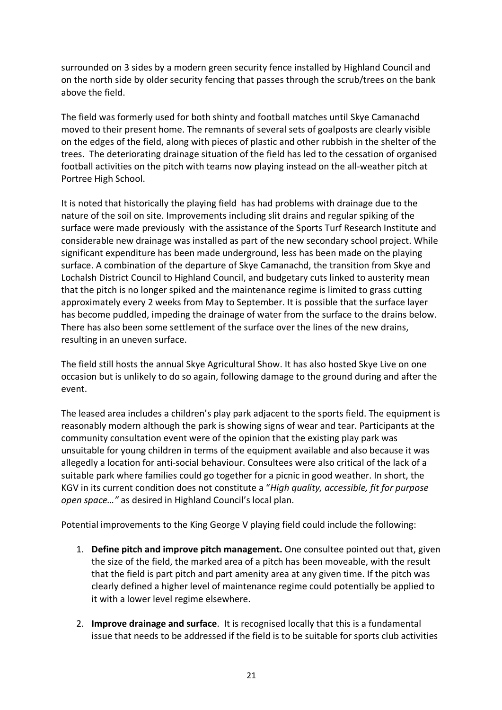surrounded on 3 sides by a modern green security fence installed by Highland Council and on the north side by older security fencing that passes through the scrub/trees on the bank above the field.

The field was formerly used for both shinty and football matches until Skye Camanachd moved to their present home. The remnants of several sets of goalposts are clearly visible on the edges of the field, along with pieces of plastic and other rubbish in the shelter of the trees. The deteriorating drainage situation of the field has led to the cessation of organised football activities on the pitch with teams now playing instead on the all-weather pitch at Portree High School.

It is noted that historically the playing field has had problems with drainage due to the nature of the soil on site. Improvements including slit drains and regular spiking of the surface were made previously with the assistance of the Sports Turf Research Institute and considerable new drainage was installed as part of the new secondary school project. While significant expenditure has been made underground, less has been made on the playing surface. A combination of the departure of Skye Camanachd, the transition from Skye and Lochalsh District Council to Highland Council, and budgetary cuts linked to austerity mean that the pitch is no longer spiked and the maintenance regime is limited to grass cutting approximately every 2 weeks from May to September. It is possible that the surface layer has become puddled, impeding the drainage of water from the surface to the drains below. There has also been some settlement of the surface over the lines of the new drains, resulting in an uneven surface.

The field still hosts the annual Skye Agricultural Show. It has also hosted Skye Live on one occasion but is unlikely to do so again, following damage to the ground during and after the event.

The leased area includes a children's play park adjacent to the sports field. The equipment is reasonably modern although the park is showing signs of wear and tear. Participants at the community consultation event were of the opinion that the existing play park was unsuitable for young children in terms of the equipment available and also because it was allegedly a location for anti-social behaviour. Consultees were also critical of the lack of a suitable park where families could go together for a picnic in good weather. In short, the KGV in its current condition does not constitute a "*High quality, accessible, fit for purpose open space…"* as desired in Highland Council's local plan.

Potential improvements to the King George V playing field could include the following:

- 1. **Define pitch and improve pitch management.** One consultee pointed out that, given the size of the field, the marked area of a pitch has been moveable, with the result that the field is part pitch and part amenity area at any given time. If the pitch was clearly defined a higher level of maintenance regime could potentially be applied to it with a lower level regime elsewhere.
- 2. **Improve drainage and surface**. It is recognised locally that this is a fundamental issue that needs to be addressed if the field is to be suitable for sports club activities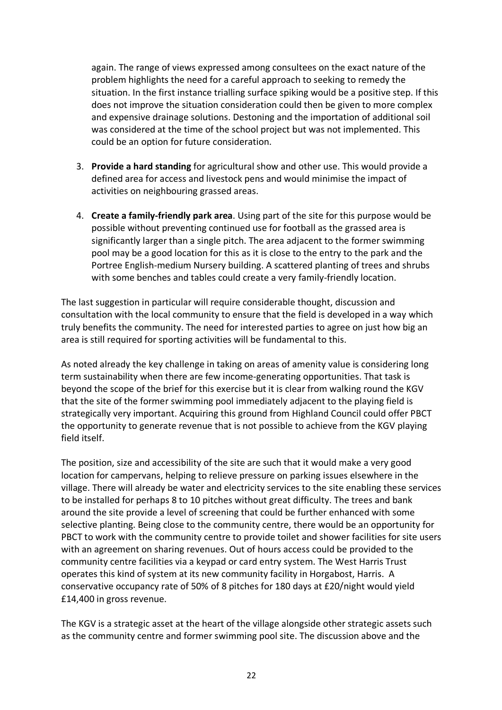again. The range of views expressed among consultees on the exact nature of the problem highlights the need for a careful approach to seeking to remedy the situation. In the first instance trialling surface spiking would be a positive step. If this does not improve the situation consideration could then be given to more complex and expensive drainage solutions. Destoning and the importation of additional soil was considered at the time of the school project but was not implemented. This could be an option for future consideration.

- 3. **Provide a hard standing** for agricultural show and other use. This would provide a defined area for access and livestock pens and would minimise the impact of activities on neighbouring grassed areas.
- 4. **Create a family-friendly park area**. Using part of the site for this purpose would be possible without preventing continued use for football as the grassed area is significantly larger than a single pitch. The area adjacent to the former swimming pool may be a good location for this as it is close to the entry to the park and the Portree English-medium Nursery building. A scattered planting of trees and shrubs with some benches and tables could create a very family-friendly location.

The last suggestion in particular will require considerable thought, discussion and consultation with the local community to ensure that the field is developed in a way which truly benefits the community. The need for interested parties to agree on just how big an area is still required for sporting activities will be fundamental to this.

As noted already the key challenge in taking on areas of amenity value is considering long term sustainability when there are few income-generating opportunities. That task is beyond the scope of the brief for this exercise but it is clear from walking round the KGV that the site of the former swimming pool immediately adjacent to the playing field is strategically very important. Acquiring this ground from Highland Council could offer PBCT the opportunity to generate revenue that is not possible to achieve from the KGV playing field itself.

The position, size and accessibility of the site are such that it would make a very good location for campervans, helping to relieve pressure on parking issues elsewhere in the village. There will already be water and electricity services to the site enabling these services to be installed for perhaps 8 to 10 pitches without great difficulty. The trees and bank around the site provide a level of screening that could be further enhanced with some selective planting. Being close to the community centre, there would be an opportunity for PBCT to work with the community centre to provide toilet and shower facilities for site users with an agreement on sharing revenues. Out of hours access could be provided to the community centre facilities via a keypad or card entry system. The West Harris Trust operates this kind of system at its new community facility in Horgabost, Harris. A conservative occupancy rate of 50% of 8 pitches for 180 days at £20/night would yield £14,400 in gross revenue.

The KGV is a strategic asset at the heart of the village alongside other strategic assets such as the community centre and former swimming pool site. The discussion above and the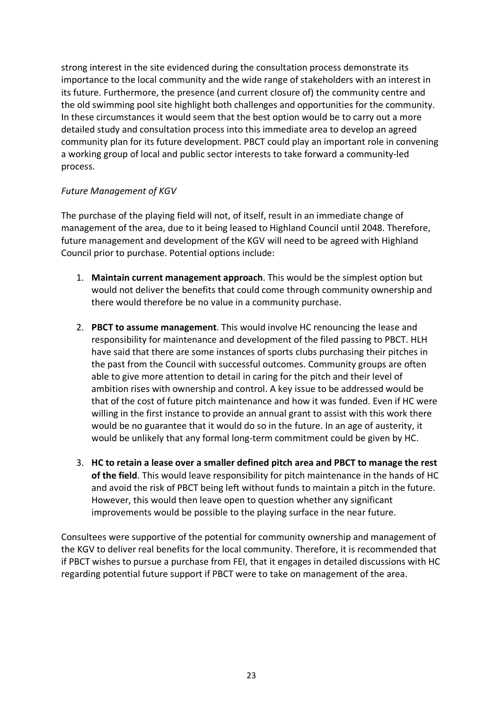strong interest in the site evidenced during the consultation process demonstrate its importance to the local community and the wide range of stakeholders with an interest in its future. Furthermore, the presence (and current closure of) the community centre and the old swimming pool site highlight both challenges and opportunities for the community. In these circumstances it would seem that the best option would be to carry out a more detailed study and consultation process into this immediate area to develop an agreed community plan for its future development. PBCT could play an important role in convening a working group of local and public sector interests to take forward a community-led process.

#### *Future Management of KGV*

The purchase of the playing field will not, of itself, result in an immediate change of management of the area, due to it being leased to Highland Council until 2048. Therefore, future management and development of the KGV will need to be agreed with Highland Council prior to purchase. Potential options include:

- 1. **Maintain current management approach**. This would be the simplest option but would not deliver the benefits that could come through community ownership and there would therefore be no value in a community purchase.
- 2. **PBCT to assume management**. This would involve HC renouncing the lease and responsibility for maintenance and development of the filed passing to PBCT. HLH have said that there are some instances of sports clubs purchasing their pitches in the past from the Council with successful outcomes. Community groups are often able to give more attention to detail in caring for the pitch and their level of ambition rises with ownership and control. A key issue to be addressed would be that of the cost of future pitch maintenance and how it was funded. Even if HC were willing in the first instance to provide an annual grant to assist with this work there would be no guarantee that it would do so in the future. In an age of austerity, it would be unlikely that any formal long-term commitment could be given by HC.
- 3. **HC to retain a lease over a smaller defined pitch area and PBCT to manage the rest of the field**. This would leave responsibility for pitch maintenance in the hands of HC and avoid the risk of PBCT being left without funds to maintain a pitch in the future. However, this would then leave open to question whether any significant improvements would be possible to the playing surface in the near future.

Consultees were supportive of the potential for community ownership and management of the KGV to deliver real benefits for the local community. Therefore, it is recommended that if PBCT wishes to pursue a purchase from FEI, that it engages in detailed discussions with HC regarding potential future support if PBCT were to take on management of the area.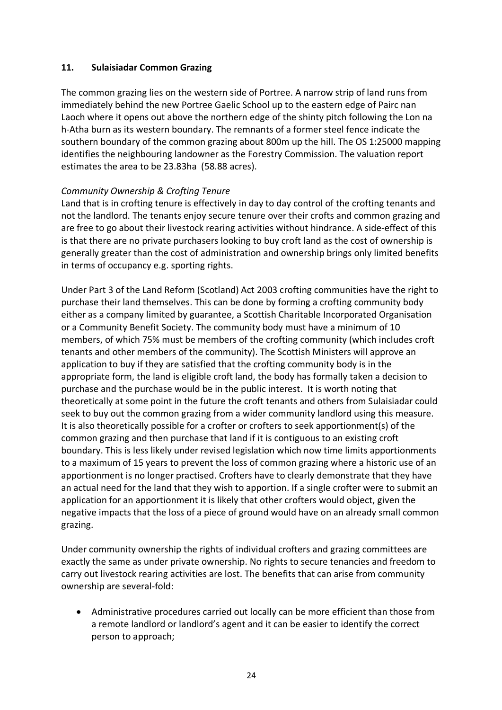#### **11. Sulaisiadar Common Grazing**

The common grazing lies on the western side of Portree. A narrow strip of land runs from immediately behind the new Portree Gaelic School up to the eastern edge of Pairc nan Laoch where it opens out above the northern edge of the shinty pitch following the Lon na h-Atha burn as its western boundary. The remnants of a former steel fence indicate the southern boundary of the common grazing about 800m up the hill. The OS 1:25000 mapping identifies the neighbouring landowner as the Forestry Commission. The valuation report estimates the area to be 23.83ha (58.88 acres).

#### *Community Ownership & Crofting Tenure*

Land that is in crofting tenure is effectively in day to day control of the crofting tenants and not the landlord. The tenants enjoy secure tenure over their crofts and common grazing and are free to go about their livestock rearing activities without hindrance. A side-effect of this is that there are no private purchasers looking to buy croft land as the cost of ownership is generally greater than the cost of administration and ownership brings only limited benefits in terms of occupancy e.g. sporting rights.

Under Part 3 of the Land Reform (Scotland) Act 2003 crofting communities have the right to purchase their land themselves. This can be done by forming a crofting community body either as a company limited by guarantee, a Scottish Charitable Incorporated Organisation or a Community Benefit Society. The community body must have a minimum of 10 members, of which 75% must be members of the crofting community (which includes croft tenants and other members of the community). The Scottish Ministers will approve an application to buy if they are satisfied that the crofting community body is in the appropriate form, the land is eligible croft land, the body has formally taken a decision to purchase and the purchase would be in the public interest. It is worth noting that theoretically at some point in the future the croft tenants and others from Sulaisiadar could seek to buy out the common grazing from a wider community landlord using this measure. It is also theoretically possible for a crofter or crofters to seek apportionment(s) of the common grazing and then purchase that land if it is contiguous to an existing croft boundary. This is less likely under revised legislation which now time limits apportionments to a maximum of 15 years to prevent the loss of common grazing where a historic use of an apportionment is no longer practised. Crofters have to clearly demonstrate that they have an actual need for the land that they wish to apportion. If a single crofter were to submit an application for an apportionment it is likely that other crofters would object, given the negative impacts that the loss of a piece of ground would have on an already small common grazing.

Under community ownership the rights of individual crofters and grazing committees are exactly the same as under private ownership. No rights to secure tenancies and freedom to carry out livestock rearing activities are lost. The benefits that can arise from community ownership are several-fold:

• Administrative procedures carried out locally can be more efficient than those from a remote landlord or landlord's agent and it can be easier to identify the correct person to approach;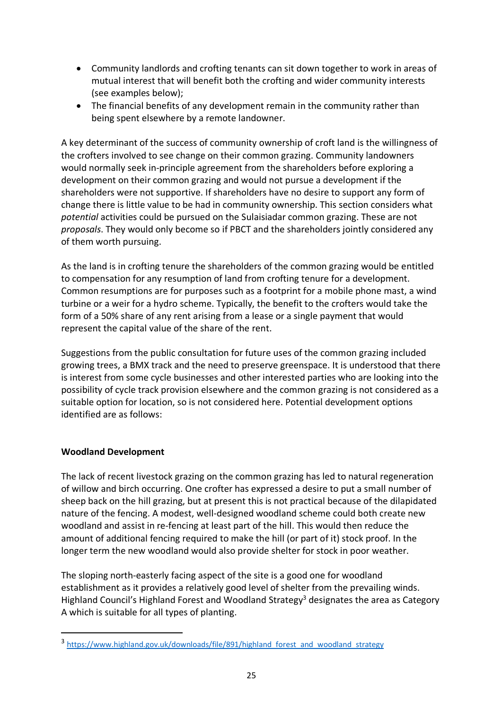- Community landlords and crofting tenants can sit down together to work in areas of mutual interest that will benefit both the crofting and wider community interests (see examples below);
- The financial benefits of any development remain in the community rather than being spent elsewhere by a remote landowner.

A key determinant of the success of community ownership of croft land is the willingness of the crofters involved to see change on their common grazing. Community landowners would normally seek in-principle agreement from the shareholders before exploring a development on their common grazing and would not pursue a development if the shareholders were not supportive. If shareholders have no desire to support any form of change there is little value to be had in community ownership. This section considers what *potential* activities could be pursued on the Sulaisiadar common grazing. These are not *proposals*. They would only become so if PBCT and the shareholders jointly considered any of them worth pursuing.

As the land is in crofting tenure the shareholders of the common grazing would be entitled to compensation for any resumption of land from crofting tenure for a development. Common resumptions are for purposes such as a footprint for a mobile phone mast, a wind turbine or a weir for a hydro scheme. Typically, the benefit to the crofters would take the form of a 50% share of any rent arising from a lease or a single payment that would represent the capital value of the share of the rent.

Suggestions from the public consultation for future uses of the common grazing included growing trees, a BMX track and the need to preserve greenspace. It is understood that there is interest from some cycle businesses and other interested parties who are looking into the possibility of cycle track provision elsewhere and the common grazing is not considered as a suitable option for location, so is not considered here. Potential development options identified are as follows:

#### **Woodland Development**

The lack of recent livestock grazing on the common grazing has led to natural regeneration of willow and birch occurring. One crofter has expressed a desire to put a small number of sheep back on the hill grazing, but at present this is not practical because of the dilapidated nature of the fencing. A modest, well-designed woodland scheme could both create new woodland and assist in re-fencing at least part of the hill. This would then reduce the amount of additional fencing required to make the hill (or part of it) stock proof. In the longer term the new woodland would also provide shelter for stock in poor weather.

The sloping north-easterly facing aspect of the site is a good one for woodland establishment as it provides a relatively good level of shelter from the prevailing winds. Highland Council's Highland Forest and Woodland Strategy<sup>3</sup> designates the area as Category A which is suitable for all types of planting.

<sup>3</sup> https://www.highland.gov.uk/downloads/file/891/highland\_forest\_and\_woodland\_strategy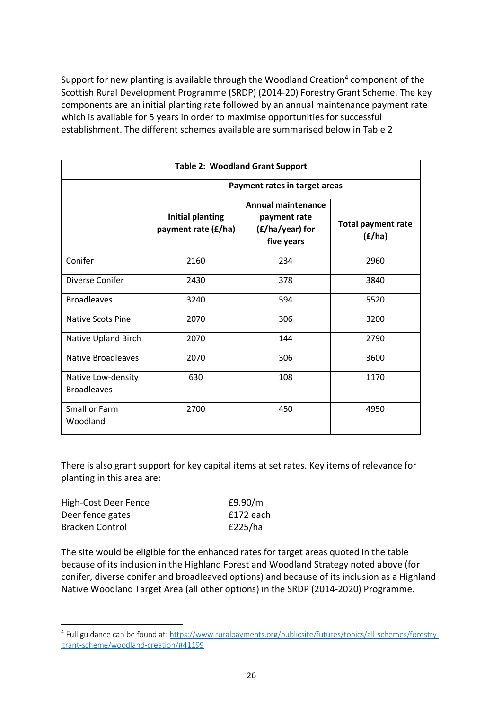Support for new planting is available through the Woodland Creation<sup>4</sup> component of the Scottish Rural Development Programme (SRDP) (2014-20) Forestry Grant Scheme. The key components are an initial planting rate followed by an annual maintenance payment rate which is available for 5 years in order to maximise opportunities for successful establishment. The different schemes available are summarised below in Table 2

| <b>Table 2: Woodland Grant Support</b>   |                                                |                                                                            |                                     |  |  |  |  |  |
|------------------------------------------|------------------------------------------------|----------------------------------------------------------------------------|-------------------------------------|--|--|--|--|--|
|                                          | Payment rates in target areas                  |                                                                            |                                     |  |  |  |  |  |
|                                          | <b>Initial planting</b><br>payment rate (£/ha) | <b>Annual maintenance</b><br>payment rate<br>(£/ha/year) for<br>five years | <b>Total payment rate</b><br>(E/ha) |  |  |  |  |  |
| Conifer                                  | 2160                                           | 234                                                                        | 2960                                |  |  |  |  |  |
| Diverse Conifer                          | 2430                                           | 378                                                                        | 3840                                |  |  |  |  |  |
| <b>Broadleaves</b>                       | 3240                                           | 594                                                                        | 5520                                |  |  |  |  |  |
| Native Scots Pine                        | 2070                                           | 306                                                                        | 3200                                |  |  |  |  |  |
| Native Upland Birch                      | 2070                                           | 144                                                                        | 2790                                |  |  |  |  |  |
| <b>Native Broadleaves</b>                | 2070                                           | 306                                                                        | 3600                                |  |  |  |  |  |
| Native Low-density<br><b>Broadleaves</b> | 630                                            | 108                                                                        | 1170                                |  |  |  |  |  |
| Small or Farm<br>Woodland                | 2700                                           | 450                                                                        | 4950                                |  |  |  |  |  |

There is also grant support for key capital items at set rates. Key items of relevance for planting in this area are:

| High-Cost Deer Fence   | £9.90/m   |
|------------------------|-----------|
| Deer fence gates       | £172 each |
| <b>Bracken Control</b> | £225/ha   |

 $\overline{a}$ 

The site would be eligible for the enhanced rates for target areas quoted in the table because of its inclusion in the Highland Forest and Woodland Strategy noted above (for conifer, diverse conifer and broadleaved options) and because of its inclusion as a Highland Native Woodland Target Area (all other options) in the SRDP (2014-2020) Programme.

<sup>4</sup> Full guidance can be found at: https://www.ruralpayments.org/publicsite/futures/topics/all-schemes/forestrygrant-scheme/woodland-creation/#41199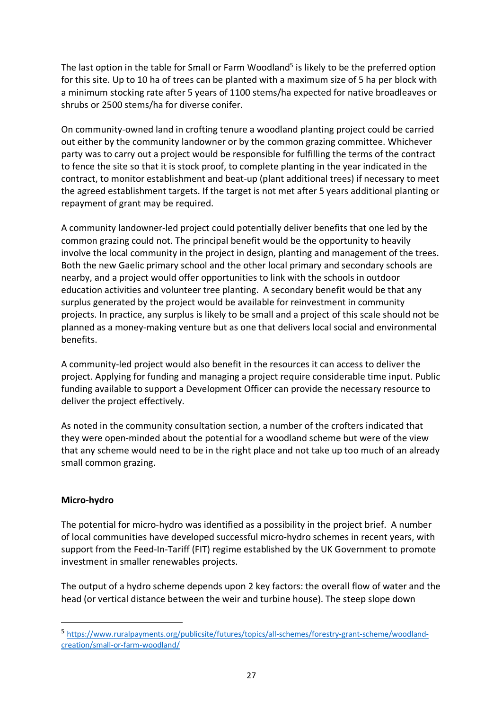The last option in the table for Small or Farm Woodland<sup>5</sup> is likely to be the preferred option for this site. Up to 10 ha of trees can be planted with a maximum size of 5 ha per block with a minimum stocking rate after 5 years of 1100 stems/ha expected for native broadleaves or shrubs or 2500 stems/ha for diverse conifer.

On community-owned land in crofting tenure a woodland planting project could be carried out either by the community landowner or by the common grazing committee. Whichever party was to carry out a project would be responsible for fulfilling the terms of the contract to fence the site so that it is stock proof, to complete planting in the year indicated in the contract, to monitor establishment and beat-up (plant additional trees) if necessary to meet the agreed establishment targets. If the target is not met after 5 years additional planting or repayment of grant may be required.

A community landowner-led project could potentially deliver benefits that one led by the common grazing could not. The principal benefit would be the opportunity to heavily involve the local community in the project in design, planting and management of the trees. Both the new Gaelic primary school and the other local primary and secondary schools are nearby, and a project would offer opportunities to link with the schools in outdoor education activities and volunteer tree planting. A secondary benefit would be that any surplus generated by the project would be available for reinvestment in community projects. In practice, any surplus is likely to be small and a project of this scale should not be planned as a money-making venture but as one that delivers local social and environmental benefits.

A community-led project would also benefit in the resources it can access to deliver the project. Applying for funding and managing a project require considerable time input. Public funding available to support a Development Officer can provide the necessary resource to deliver the project effectively.

As noted in the community consultation section, a number of the crofters indicated that they were open-minded about the potential for a woodland scheme but were of the view that any scheme would need to be in the right place and not take up too much of an already small common grazing.

#### **Micro-hydro**

The potential for micro-hydro was identified as a possibility in the project brief. A number of local communities have developed successful micro-hydro schemes in recent years, with support from the Feed-In-Tariff (FIT) regime established by the UK Government to promote investment in smaller renewables projects.

The output of a hydro scheme depends upon 2 key factors: the overall flow of water and the head (or vertical distance between the weir and turbine house). The steep slope down

 <sup>5</sup> https://www.ruralpayments.org/publicsite/futures/topics/all-schemes/forestry-grant-scheme/woodlandcreation/small-or-farm-woodland/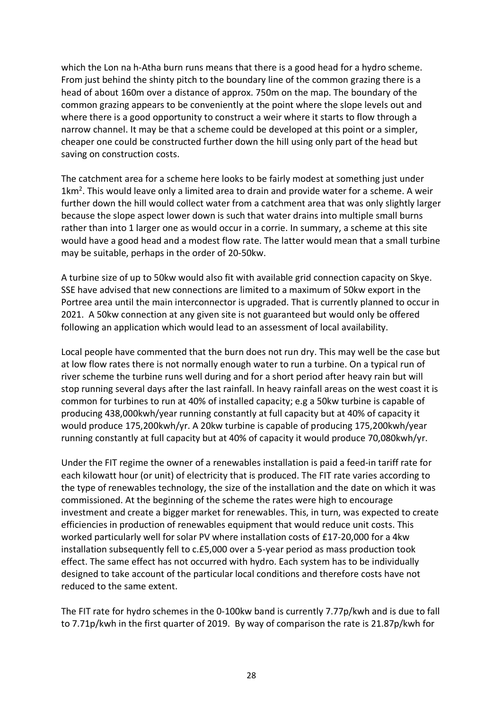which the Lon na h-Atha burn runs means that there is a good head for a hydro scheme. From just behind the shinty pitch to the boundary line of the common grazing there is a head of about 160m over a distance of approx. 750m on the map. The boundary of the common grazing appears to be conveniently at the point where the slope levels out and where there is a good opportunity to construct a weir where it starts to flow through a narrow channel. It may be that a scheme could be developed at this point or a simpler, cheaper one could be constructed further down the hill using only part of the head but saving on construction costs.

The catchment area for a scheme here looks to be fairly modest at something just under  $1km<sup>2</sup>$ . This would leave only a limited area to drain and provide water for a scheme. A weir further down the hill would collect water from a catchment area that was only slightly larger because the slope aspect lower down is such that water drains into multiple small burns rather than into 1 larger one as would occur in a corrie. In summary, a scheme at this site would have a good head and a modest flow rate. The latter would mean that a small turbine may be suitable, perhaps in the order of 20-50kw.

A turbine size of up to 50kw would also fit with available grid connection capacity on Skye. SSE have advised that new connections are limited to a maximum of 50kw export in the Portree area until the main interconnector is upgraded. That is currently planned to occur in 2021. A 50kw connection at any given site is not guaranteed but would only be offered following an application which would lead to an assessment of local availability.

Local people have commented that the burn does not run dry. This may well be the case but at low flow rates there is not normally enough water to run a turbine. On a typical run of river scheme the turbine runs well during and for a short period after heavy rain but will stop running several days after the last rainfall. In heavy rainfall areas on the west coast it is common for turbines to run at 40% of installed capacity; e.g a 50kw turbine is capable of producing 438,000kwh/year running constantly at full capacity but at 40% of capacity it would produce 175,200kwh/yr. A 20kw turbine is capable of producing 175,200kwh/year running constantly at full capacity but at 40% of capacity it would produce 70,080kwh/yr.

Under the FIT regime the owner of a renewables installation is paid a feed-in tariff rate for each kilowatt hour (or unit) of electricity that is produced. The FIT rate varies according to the type of renewables technology, the size of the installation and the date on which it was commissioned. At the beginning of the scheme the rates were high to encourage investment and create a bigger market for renewables. This, in turn, was expected to create efficiencies in production of renewables equipment that would reduce unit costs. This worked particularly well for solar PV where installation costs of £17-20,000 for a 4kw installation subsequently fell to c.£5,000 over a 5-year period as mass production took effect. The same effect has not occurred with hydro. Each system has to be individually designed to take account of the particular local conditions and therefore costs have not reduced to the same extent.

The FIT rate for hydro schemes in the 0-100kw band is currently 7.77p/kwh and is due to fall to 7.71p/kwh in the first quarter of 2019. By way of comparison the rate is 21.87p/kwh for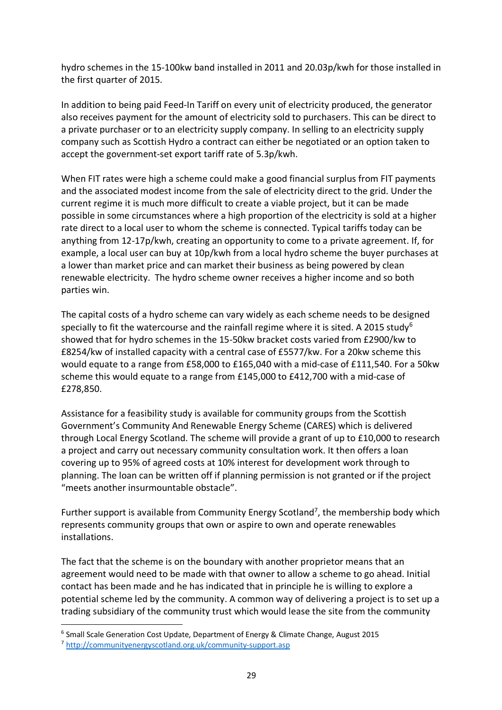hydro schemes in the 15-100kw band installed in 2011 and 20.03p/kwh for those installed in the first quarter of 2015.

In addition to being paid Feed-In Tariff on every unit of electricity produced, the generator also receives payment for the amount of electricity sold to purchasers. This can be direct to a private purchaser or to an electricity supply company. In selling to an electricity supply company such as Scottish Hydro a contract can either be negotiated or an option taken to accept the government-set export tariff rate of 5.3p/kwh.

When FIT rates were high a scheme could make a good financial surplus from FIT payments and the associated modest income from the sale of electricity direct to the grid. Under the current regime it is much more difficult to create a viable project, but it can be made possible in some circumstances where a high proportion of the electricity is sold at a higher rate direct to a local user to whom the scheme is connected. Typical tariffs today can be anything from 12-17p/kwh, creating an opportunity to come to a private agreement. If, for example, a local user can buy at 10p/kwh from a local hydro scheme the buyer purchases at a lower than market price and can market their business as being powered by clean renewable electricity. The hydro scheme owner receives a higher income and so both parties win.

The capital costs of a hydro scheme can vary widely as each scheme needs to be designed specially to fit the watercourse and the rainfall regime where it is sited. A 2015 study<sup>6</sup> showed that for hydro schemes in the 15-50kw bracket costs varied from £2900/kw to £8254/kw of installed capacity with a central case of £5577/kw. For a 20kw scheme this would equate to a range from £58,000 to £165,040 with a mid-case of £111,540. For a 50kw scheme this would equate to a range from £145,000 to £412,700 with a mid-case of £278,850.

Assistance for a feasibility study is available for community groups from the Scottish Government's Community And Renewable Energy Scheme (CARES) which is delivered through Local Energy Scotland. The scheme will provide a grant of up to £10,000 to research a project and carry out necessary community consultation work. It then offers a loan covering up to 95% of agreed costs at 10% interest for development work through to planning. The loan can be written off if planning permission is not granted or if the project "meets another insurmountable obstacle".

Further support is available from Community Energy Scotland<sup>7</sup>, the membership body which represents community groups that own or aspire to own and operate renewables installations.

The fact that the scheme is on the boundary with another proprietor means that an agreement would need to be made with that owner to allow a scheme to go ahead. Initial contact has been made and he has indicated that in principle he is willing to explore a potential scheme led by the community. A common way of delivering a project is to set up a trading subsidiary of the community trust which would lease the site from the community

 $6$  Small Scale Generation Cost Update, Department of Energy & Climate Change, August 2015

<sup>7</sup> http://communityenergyscotland.org.uk/community-support.asp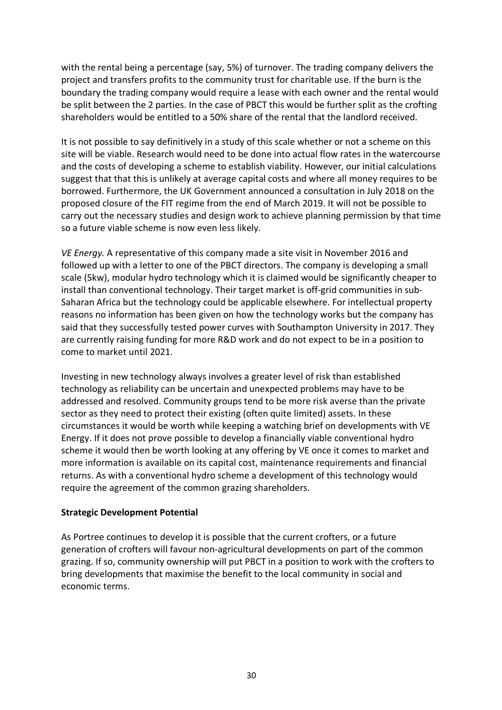with the rental being a percentage (say, 5%) of turnover. The trading company delivers the project and transfers profits to the community trust for charitable use. If the burn is the boundary the trading company would require a lease with each owner and the rental would be split between the 2 parties. In the case of PBCT this would be further split as the crofting shareholders would be entitled to a 50% share of the rental that the landlord received.

It is not possible to say definitively in a study of this scale whether or not a scheme on this site will be viable. Research would need to be done into actual flow rates in the watercourse and the costs of developing a scheme to establish viability. However, our initial calculations suggest that that this is unlikely at average capital costs and where all money requires to be borrowed. Furthermore, the UK Government announced a consultation in July 2018 on the proposed closure of the FIT regime from the end of March 2019. It will not be possible to carry out the necessary studies and design work to achieve planning permission by that time so a future viable scheme is now even less likely.

*VE Energy.* A representative of this company made a site visit in November 2016 and followed up with a letter to one of the PBCT directors. The company is developing a small scale (5kw), modular hydro technology which it is claimed would be significantly cheaper to install than conventional technology. Their target market is off-grid communities in sub-Saharan Africa but the technology could be applicable elsewhere. For intellectual property reasons no information has been given on how the technology works but the company has said that they successfully tested power curves with Southampton University in 2017. They are currently raising funding for more R&D work and do not expect to be in a position to come to market until 2021.

Investing in new technology always involves a greater level of risk than established technology as reliability can be uncertain and unexpected problems may have to be addressed and resolved. Community groups tend to be more risk averse than the private sector as they need to protect their existing (often quite limited) assets. In these circumstances it would be worth while keeping a watching brief on developments with VE Energy. If it does not prove possible to develop a financially viable conventional hydro scheme it would then be worth looking at any offering by VE once it comes to market and more information is available on its capital cost, maintenance requirements and financial returns. As with a conventional hydro scheme a development of this technology would require the agreement of the common grazing shareholders.

#### **Strategic Development Potential**

As Portree continues to develop it is possible that the current crofters, or a future generation of crofters will favour non-agricultural developments on part of the common grazing. If so, community ownership will put PBCT in a position to work with the crofters to bring developments that maximise the benefit to the local community in social and economic terms.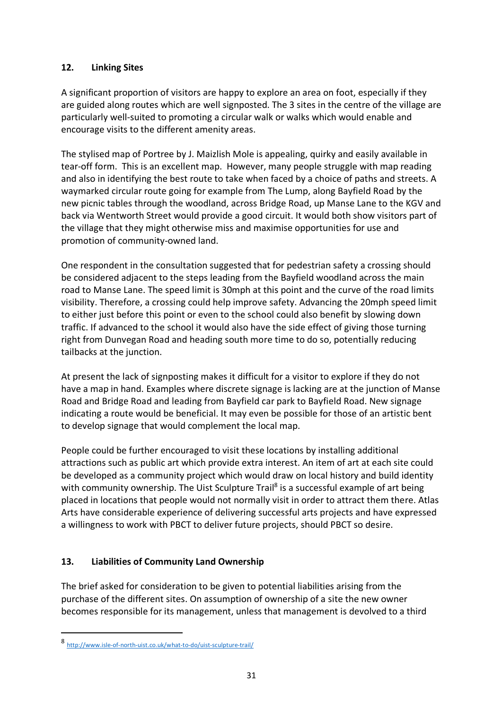#### **12. Linking Sites**

A significant proportion of visitors are happy to explore an area on foot, especially if they are guided along routes which are well signposted. The 3 sites in the centre of the village are particularly well-suited to promoting a circular walk or walks which would enable and encourage visits to the different amenity areas.

The stylised map of Portree by J. Maizlish Mole is appealing, quirky and easily available in tear-off form. This is an excellent map. However, many people struggle with map reading and also in identifying the best route to take when faced by a choice of paths and streets. A waymarked circular route going for example from The Lump, along Bayfield Road by the new picnic tables through the woodland, across Bridge Road, up Manse Lane to the KGV and back via Wentworth Street would provide a good circuit. It would both show visitors part of the village that they might otherwise miss and maximise opportunities for use and promotion of community-owned land.

One respondent in the consultation suggested that for pedestrian safety a crossing should be considered adjacent to the steps leading from the Bayfield woodland across the main road to Manse Lane. The speed limit is 30mph at this point and the curve of the road limits visibility. Therefore, a crossing could help improve safety. Advancing the 20mph speed limit to either just before this point or even to the school could also benefit by slowing down traffic. If advanced to the school it would also have the side effect of giving those turning right from Dunvegan Road and heading south more time to do so, potentially reducing tailbacks at the junction.

At present the lack of signposting makes it difficult for a visitor to explore if they do not have a map in hand. Examples where discrete signage is lacking are at the junction of Manse Road and Bridge Road and leading from Bayfield car park to Bayfield Road. New signage indicating a route would be beneficial. It may even be possible for those of an artistic bent to develop signage that would complement the local map.

People could be further encouraged to visit these locations by installing additional attractions such as public art which provide extra interest. An item of art at each site could be developed as a community project which would draw on local history and build identity with community ownership. The Uist Sculpture Trail<sup>8</sup> is a successful example of art being placed in locations that people would not normally visit in order to attract them there. Atlas Arts have considerable experience of delivering successful arts projects and have expressed a willingness to work with PBCT to deliver future projects, should PBCT so desire.

#### **13. Liabilities of Community Land Ownership**

The brief asked for consideration to be given to potential liabilities arising from the purchase of the different sites. On assumption of ownership of a site the new owner becomes responsible for its management, unless that management is devolved to a third

 <sup>8</sup> http://www.isle-of-north-uist.co.uk/what-to-do/uist-sculpture-trail/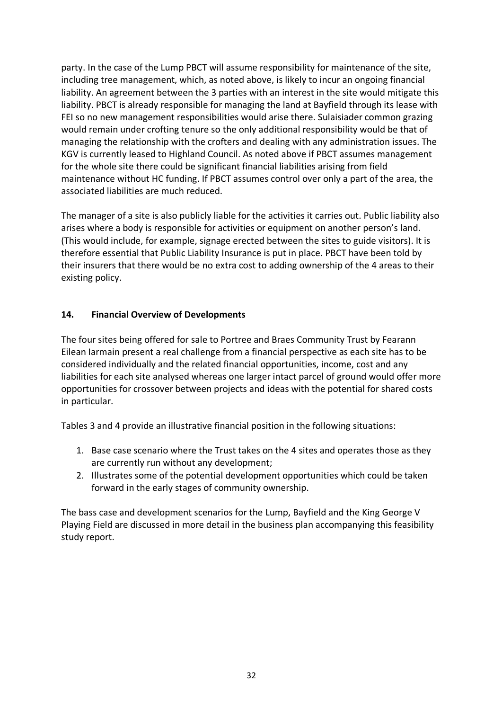party. In the case of the Lump PBCT will assume responsibility for maintenance of the site, including tree management, which, as noted above, is likely to incur an ongoing financial liability. An agreement between the 3 parties with an interest in the site would mitigate this liability. PBCT is already responsible for managing the land at Bayfield through its lease with FEI so no new management responsibilities would arise there. Sulaisiader common grazing would remain under crofting tenure so the only additional responsibility would be that of managing the relationship with the crofters and dealing with any administration issues. The KGV is currently leased to Highland Council. As noted above if PBCT assumes management for the whole site there could be significant financial liabilities arising from field maintenance without HC funding. If PBCT assumes control over only a part of the area, the associated liabilities are much reduced.

The manager of a site is also publicly liable for the activities it carries out. Public liability also arises where a body is responsible for activities or equipment on another person's land. (This would include, for example, signage erected between the sites to guide visitors). It is therefore essential that Public Liability Insurance is put in place. PBCT have been told by their insurers that there would be no extra cost to adding ownership of the 4 areas to their existing policy.

#### **14. Financial Overview of Developments**

The four sites being offered for sale to Portree and Braes Community Trust by Fearann Eilean Iarmain present a real challenge from a financial perspective as each site has to be considered individually and the related financial opportunities, income, cost and any liabilities for each site analysed whereas one larger intact parcel of ground would offer more opportunities for crossover between projects and ideas with the potential for shared costs in particular.

Tables 3 and 4 provide an illustrative financial position in the following situations:

- 1. Base case scenario where the Trust takes on the 4 sites and operates those as they are currently run without any development;
- 2. Illustrates some of the potential development opportunities which could be taken forward in the early stages of community ownership.

The bass case and development scenarios for the Lump, Bayfield and the King George V Playing Field are discussed in more detail in the business plan accompanying this feasibility study report.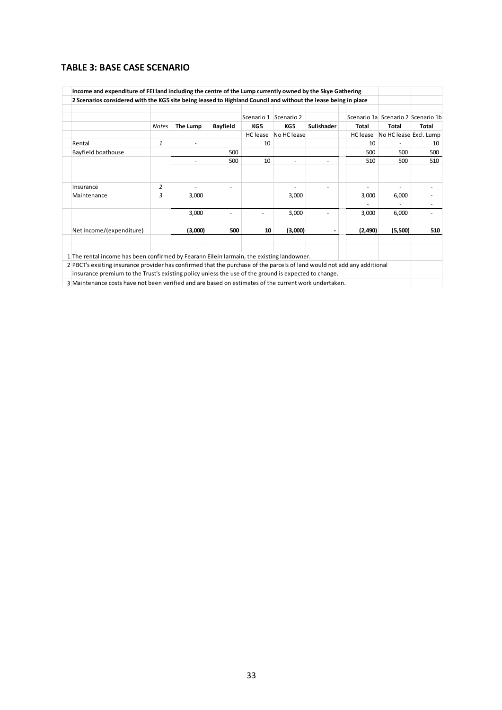#### **TABLE 3: BASE CASE SCENARIO**

| Income and expenditure of FEI land including the centre of the Lump currently owned by the Skye Gathering                |              |          |                 |          |                       |                   |         |                                     |       |
|--------------------------------------------------------------------------------------------------------------------------|--------------|----------|-----------------|----------|-----------------------|-------------------|---------|-------------------------------------|-------|
| 2 Scenarios considered with the KG5 site being leased to Highland Council and without the lease being in place           |              |          |                 |          |                       |                   |         |                                     |       |
|                                                                                                                          |              |          |                 |          | Scenario 1 Scenario 2 |                   |         | Scenario 1al Scenario 2 Scenario 1b |       |
|                                                                                                                          | <b>Notes</b> | The Lump | <b>Bayfield</b> | KG5      | KG5                   | <b>Sulishader</b> | Total   | Total                               | Total |
|                                                                                                                          |              |          |                 | HC lease | No HC lease           |                   |         | HC lease No HC lease Excl. Lump     |       |
| Rental                                                                                                                   | 1            | ٠        |                 | 10       |                       |                   | 10      |                                     | 10    |
| Bayfield boathouse                                                                                                       |              |          | 500             |          |                       |                   | 500     | 500                                 | 500   |
|                                                                                                                          |              | ۰        | 500             | 10       |                       | ٠                 | 510     | 500                                 | 510   |
|                                                                                                                          |              |          |                 |          |                       |                   |         |                                     |       |
|                                                                                                                          |              |          |                 |          |                       |                   |         |                                     |       |
| Insurance                                                                                                                | 2            | ٠        | ٠               |          |                       | ٠                 | ٠       | ÷                                   |       |
| Maintenance                                                                                                              | 3            | 3,000    |                 |          | 3,000                 |                   | 3,000   | 6,000                               |       |
|                                                                                                                          |              |          |                 |          |                       |                   |         |                                     | ٠     |
|                                                                                                                          |              | 3,000    |                 |          | 3,000                 |                   | 3,000   | 6,000                               |       |
| Net income/(expenditure)                                                                                                 |              | (3,000)  | 500             | 10       | (3,000)               |                   | (2,490) | (5,500)                             | 510   |
|                                                                                                                          |              |          |                 |          |                       |                   |         |                                     |       |
| 1 The rental income has been confirmed by Fearann Eilein Iarmain, the existing landowner.                                |              |          |                 |          |                       |                   |         |                                     |       |
| 2 PBCT's exsiting insurance provider has confirmed that the purchase of the parcels of land would not add any additional |              |          |                 |          |                       |                   |         |                                     |       |
| insurance premium to the Trust's existing policy unless the use of the ground is expected to change.                     |              |          |                 |          |                       |                   |         |                                     |       |
| 3 Maintenance costs have not been verified and are based on estimates of the current work undertaken.                    |              |          |                 |          |                       |                   |         |                                     |       |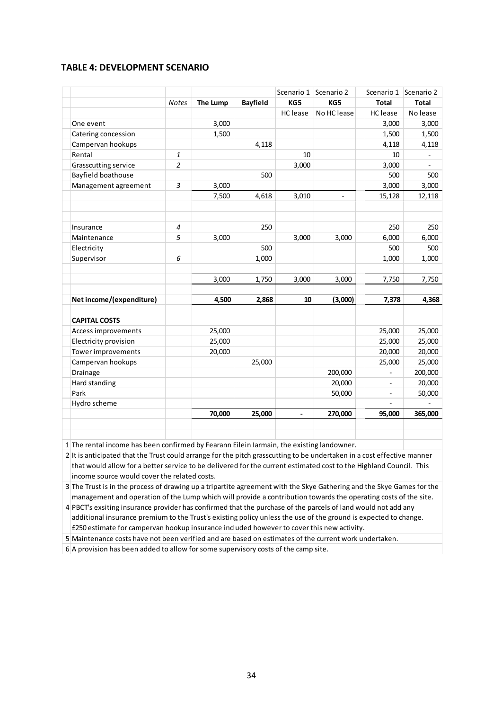#### **TABLE 4: DEVELOPMENT SCENARIO**

|                          |                |          |                 |                 | Scenario 1 Scenario 2 | Scenario 1 Scenario 2 |              |
|--------------------------|----------------|----------|-----------------|-----------------|-----------------------|-----------------------|--------------|
|                          | <b>Notes</b>   | The Lump | <b>Bayfield</b> | KG5             | KG5                   | <b>Total</b>          | <b>Total</b> |
|                          |                |          |                 | <b>HC</b> lease | No HC lease           | <b>HC</b> lease       | No lease     |
| One event                |                | 3,000    |                 |                 |                       | 3,000                 | 3,000        |
| Catering concession      |                | 1,500    |                 |                 |                       | 1,500                 | 1,500        |
| Campervan hookups        |                |          | 4,118           |                 |                       | 4,118                 | 4,118        |
| Rental                   | 1              |          |                 | 10              |                       | 10                    |              |
| Grasscutting service     | $\overline{a}$ |          |                 | 3,000           |                       | 3,000                 |              |
| Bayfield boathouse       |                |          | 500             |                 |                       | 500                   | 500          |
| Management agreement     | 3              | 3,000    |                 |                 |                       | 3,000                 | 3,000        |
|                          |                | 7,500    | 4,618           | 3,010           | ÷,                    | 15,128                | 12,118       |
|                          |                |          |                 |                 |                       |                       |              |
|                          |                |          |                 |                 |                       |                       |              |
| Insurance                | $\overline{4}$ |          | 250             |                 |                       | 250                   | 250          |
| Maintenance              | 5              | 3,000    |                 | 3,000           | 3,000                 | 6,000                 | 6,000        |
| Electricity              |                |          | 500             |                 |                       | 500                   | 500          |
| Supervisor               | 6              |          | 1,000           |                 |                       | 1,000                 | 1,000        |
|                          |                |          |                 |                 |                       |                       |              |
|                          |                | 3,000    | 1,750           | 3,000           | 3,000                 | 7,750                 | 7,750        |
|                          |                |          |                 |                 |                       |                       |              |
| Net income/(expenditure) |                | 4,500    | 2,868           | 10              | (3,000)               | 7,378                 | 4,368        |
| <b>CAPITAL COSTS</b>     |                |          |                 |                 |                       |                       |              |
| Access improvements      |                | 25,000   |                 |                 |                       | 25,000                | 25,000       |
| Electricity provision    |                | 25,000   |                 |                 |                       | 25,000                | 25,000       |
| Tower improvements       |                | 20,000   |                 |                 |                       | 20,000                | 20,000       |
| Campervan hookups        |                |          | 25,000          |                 |                       | 25,000                | 25,000       |
| Drainage                 |                |          |                 |                 | 200,000               |                       | 200,000      |
| Hard standing            |                |          |                 |                 | 20,000                |                       | 20,000       |
| Park                     |                |          |                 |                 | 50,000                |                       | 50,000       |
| Hydro scheme             |                |          |                 |                 |                       |                       |              |
|                          |                | 70,000   | 25,000          | $\frac{1}{2}$   | 270,000               | 95,000                | 365,000      |
|                          |                |          |                 |                 |                       |                       |              |
|                          |                |          |                 |                 |                       |                       |              |

1 The rental income has been confirmed by Fearann Eilein Iarmain, the existing landowner.

2 It is anticipated that the Trust could arrange for the pitch grasscutting to be undertaken in a cost effective manner that would allow for a better service to be delivered for the current estimated cost to the Highland Council. This income source would cover the related costs.

3 The Trust is in the process of drawing up a tripartite agreement with the Skye Gathering and the Skye Games for the management and operation of the Lump which will provide a contribution towards the operating costs of the site.

4 PBCT's exsiting insurance provider has confirmed that the purchase of the parcels of land would not add any additional insurance premium to the Trust's existing policy unless the use of the ground is expected to change. £250 estimate for campervan hookup insurance included however to cover this new activity.

5 Maintenance costs have not been verified and are based on estimates of the current work undertaken.

6 A provision has been added to allow for some supervisory costs of the camp site.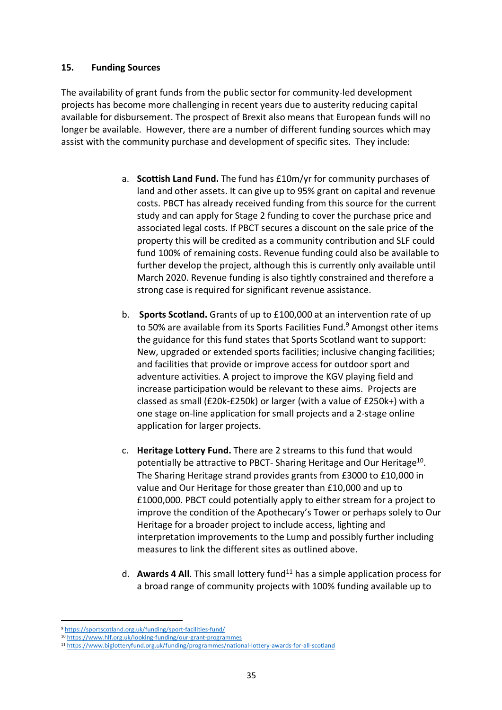#### **15. Funding Sources**

The availability of grant funds from the public sector for community-led development projects has become more challenging in recent years due to austerity reducing capital available for disbursement. The prospect of Brexit also means that European funds will no longer be available. However, there are a number of different funding sources which may assist with the community purchase and development of specific sites. They include:

- a. **Scottish Land Fund.** The fund has £10m/yr for community purchases of land and other assets. It can give up to 95% grant on capital and revenue costs. PBCT has already received funding from this source for the current study and can apply for Stage 2 funding to cover the purchase price and associated legal costs. If PBCT secures a discount on the sale price of the property this will be credited as a community contribution and SLF could fund 100% of remaining costs. Revenue funding could also be available to further develop the project, although this is currently only available until March 2020. Revenue funding is also tightly constrained and therefore a strong case is required for significant revenue assistance.
- b. **Sports Scotland.** Grants of up to £100,000 at an intervention rate of up to 50% are available from its Sports Facilities Fund.<sup>9</sup> Amongst other items the guidance for this fund states that Sports Scotland want to support: New, upgraded or extended sports facilities; inclusive changing facilities; and facilities that provide or improve access for outdoor sport and adventure activities. A project to improve the KGV playing field and increase participation would be relevant to these aims. Projects are classed as small (£20k-£250k) or larger (with a value of £250k+) with a one stage on-line application for small projects and a 2-stage online application for larger projects.
- c. **Heritage Lottery Fund.** There are 2 streams to this fund that would potentially be attractive to PBCT- Sharing Heritage and Our Heritage<sup>10</sup>. The Sharing Heritage strand provides grants from £3000 to £10,000 in value and Our Heritage for those greater than £10,000 and up to £1000,000. PBCT could potentially apply to either stream for a project to improve the condition of the Apothecary's Tower or perhaps solely to Our Heritage for a broader project to include access, lighting and interpretation improvements to the Lump and possibly further including measures to link the different sites as outlined above.
- d. **Awards 4 All**. This small lottery fund<sup>11</sup> has a simple application process for a broad range of community projects with 100% funding available up to

 <sup>9</sup> https://sportscotland.org.uk/funding/sport-facilities-fund/

<sup>10</sup> https://www.hlf.org.uk/looking-funding/our-grant-programmes

<sup>11</sup> https://www.biglotteryfund.org.uk/funding/programmes/national-lottery-awards-for-all-scotland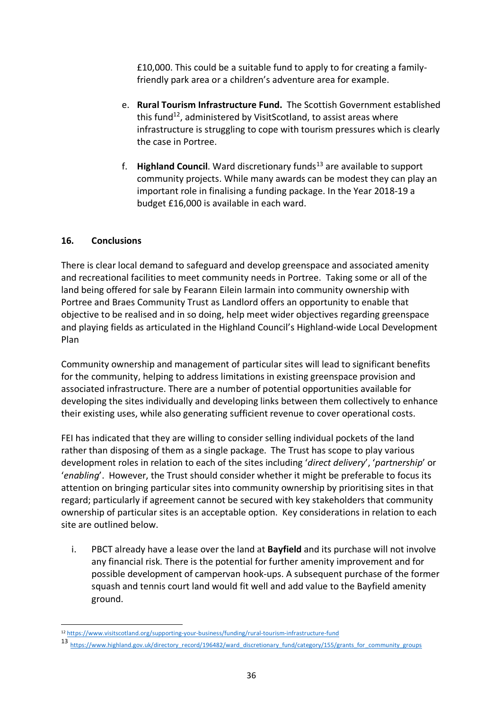£10,000. This could be a suitable fund to apply to for creating a familyfriendly park area or a children's adventure area for example.

- e. **Rural Tourism Infrastructure Fund.** The Scottish Government established this fund<sup>12</sup>, administered by VisitScotland, to assist areas where infrastructure is struggling to cope with tourism pressures which is clearly the case in Portree.
- f. **Highland Council**. Ward discretionary funds13 are available to support community projects. While many awards can be modest they can play an important role in finalising a funding package. In the Year 2018-19 a budget £16,000 is available in each ward.

#### **16. Conclusions**

There is clear local demand to safeguard and develop greenspace and associated amenity and recreational facilities to meet community needs in Portree. Taking some or all of the land being offered for sale by Fearann Eilein Iarmain into community ownership with Portree and Braes Community Trust as Landlord offers an opportunity to enable that objective to be realised and in so doing, help meet wider objectives regarding greenspace and playing fields as articulated in the Highland Council's Highland-wide Local Development Plan

Community ownership and management of particular sites will lead to significant benefits for the community, helping to address limitations in existing greenspace provision and associated infrastructure. There are a number of potential opportunities available for developing the sites individually and developing links between them collectively to enhance their existing uses, while also generating sufficient revenue to cover operational costs.

FEI has indicated that they are willing to consider selling individual pockets of the land rather than disposing of them as a single package. The Trust has scope to play various development roles in relation to each of the sites including '*direct delivery*', '*partnership*' or '*enabling*'. However, the Trust should consider whether it might be preferable to focus its attention on bringing particular sites into community ownership by prioritising sites in that regard; particularly if agreement cannot be secured with key stakeholders that community ownership of particular sites is an acceptable option. Key considerations in relation to each site are outlined below.

i. PBCT already have a lease over the land at **Bayfield** and its purchase will not involve any financial risk. There is the potential for further amenity improvement and for possible development of campervan hook-ups. A subsequent purchase of the former squash and tennis court land would fit well and add value to the Bayfield amenity ground.

 <sup>12</sup> https://www.visitscotland.org/supporting-your-business/funding/rural-tourism-infrastructure-fund

<sup>13</sup> https://www.highland.gov.uk/directory\_record/196482/ward\_discretionary\_fund/category/155/grants\_for\_community\_groups